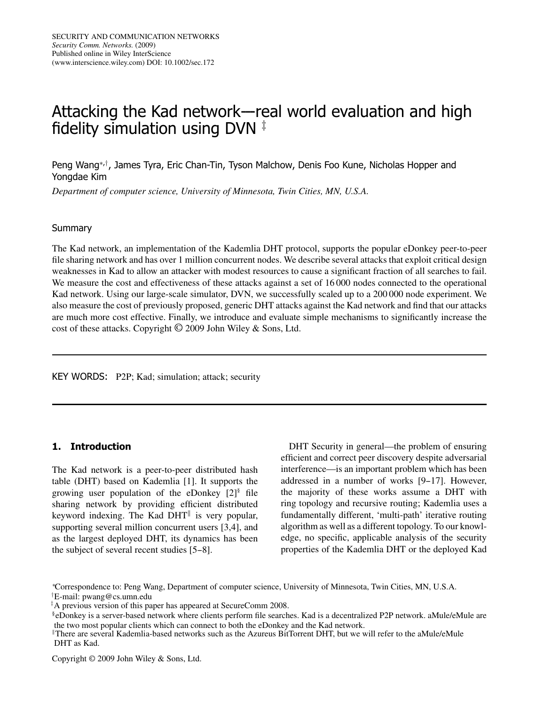# Attacking the Kad network-real world evaluation and high fidelity simulation using DVN  $<sup>‡</sup>$ </sup>

Peng Wang\*<sup>,†</sup>, James Tyra, Eric Chan-Tin, Tyson Malchow, Denis Foo Kune, Nicholas Hopper and Yongdae Kim

*Department of computer science, University of Minnesota, Twin Cities, MN, U.S.A.*

#### Summary

The Kad network, an implementation of the Kademlia DHT protocol, supports the popular eDonkey peer-to-peer file sharing network and has over 1 million concurrent nodes. We describe several attacks that exploit critical design weaknesses in Kad to allow an attacker with modest resources to cause a significant fraction of all searches to fail. We measure the cost and effectiveness of these attacks against a set of 16000 nodes connected to the operational Kad network. Using our large-scale simulator, DVN, we successfully scaled up to a 200 000 node experiment. We also measure the cost of previously proposed, generic DHT attacks against the Kad network and find that our attacks are much more cost effective. Finally, we introduce and evaluate simple mechanisms to significantly increase the cost of these attacks. Copyright © 2009 John Wiley & Sons, Ltd.

KEY WORDS: P2P; Kad; simulation; attack; security

### **1. Introduction**

The Kad network is a peer-to-peer distributed hash table (DHT) based on Kademlia [1]. It supports the growing user population of the eDonkey  $[2]$ <sup>§</sup> file sharing network by providing efficient distributed keyword indexing. The Kad DHT $\parallel$  is very popular, supporting several million concurrent users [3,4], and as the largest deployed DHT, its dynamics has been the subject of several recent studies  $[5-8]$ .

DHT Security in general—the problem of ensuring efficient and correct peer discovery despite adversarial interference—is an important problem which has been addressed in a number of works [9-17]. However, the majority of these works assume a DHT with ring topology and recursive routing; Kademlia uses a fundamentally different, 'multi-path' iterative routing algorithm as well as a different topology. To our knowledge, no specific, applicable analysis of the security properties of the Kademlia DHT or the deployed Kad

† E-mail: pwang@cs.umn.edu

Copyright © 2009 John Wiley & Sons, Ltd.

<sup>∗</sup> Correspondence to: Peng Wang, Department of computer science, University of Minnesota, Twin Cities, MN, U.S.A.

<sup>‡</sup> A previous version of this paper has appeared at SecureComm 2008.

<sup>§</sup>eDonkey is a server-based network where clients perform file searches. Kad is a decentralized P2P network. aMule/eMule are the two most popular clients which can connect to both the eDonkey and the Kad network.

<sup>-</sup>There are several Kademlia-based networks such as the Azureus BitTorrent DHT, but we will refer to the aMule/eMule DHT as Kad.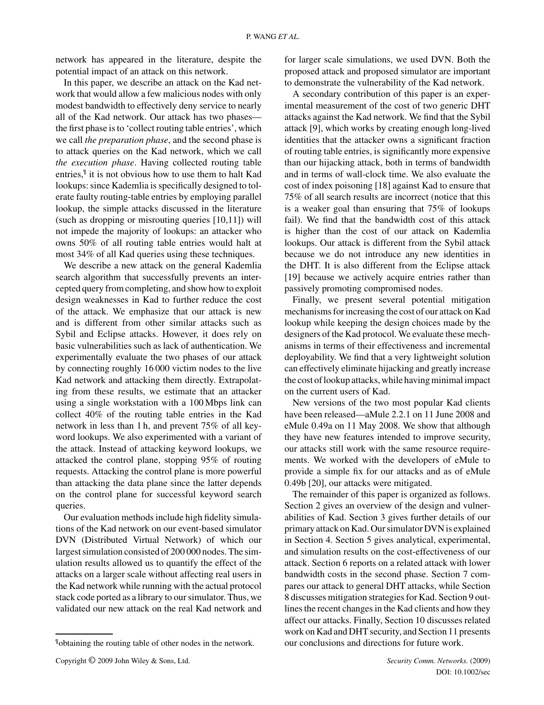network has appeared in the literature, despite the potential impact of an attack on this network.

In this paper, we describe an attack on the Kad network that would allow a few malicious nodes with only modest bandwidth to effectively deny service to nearly all of the Kad network. Our attack has two phases the first phase is to 'collect routing table entries', which we call *the preparation phase*, and the second phase is to attack queries on the Kad network, which we call *the execution phase*. Having collected routing table entries,¶ it is not obvious how to use them to halt Kad lookups: since Kademlia is specifically designed to tolerate faulty routing-table entries by employing parallel lookup, the simple attacks discussed in the literature (such as dropping or misrouting queries [10,11]) will not impede the majority of lookups: an attacker who owns 50% of all routing table entries would halt at most 34% of all Kad queries using these techniques.

We describe a new attack on the general Kademlia search algorithm that successfully prevents an intercepted query from completing, and show how to exploit design weaknesses in Kad to further reduce the cost of the attack. We emphasize that our attack is new and is different from other similar attacks such as Sybil and Eclipse attacks. However, it does rely on basic vulnerabilities such as lack of authentication. We experimentally evaluate the two phases of our attack by connecting roughly 16 000 victim nodes to the live Kad network and attacking them directly. Extrapolating from these results, we estimate that an attacker using a single workstation with a 100 Mbps link can collect 40% of the routing table entries in the Kad network in less than 1 h, and prevent 75% of all keyword lookups. We also experimented with a variant of the attack. Instead of attacking keyword lookups, we attacked the control plane, stopping 95% of routing requests. Attacking the control plane is more powerful than attacking the data plane since the latter depends on the control plane for successful keyword search queries.

Our evaluation methods include high fidelity simulations of the Kad network on our event-based simulator DVN (Distributed Virtual Network) of which our largest simulation consisted of 200 000 nodes. The simulation results allowed us to quantify the effect of the attacks on a larger scale without affecting real users in the Kad network while running with the actual protocol stack code ported as a library to our simulator. Thus, we validated our new attack on the real Kad network and

for larger scale simulations, we used DVN. Both the proposed attack and proposed simulator are important to demonstrate the vulnerability of the Kad network.

A secondary contribution of this paper is an experimental measurement of the cost of two generic DHT attacks against the Kad network. We find that the Sybil attack [9], which works by creating enough long-lived identities that the attacker owns a significant fraction of routing table entries, is significantly more expensive than our hijacking attack, both in terms of bandwidth and in terms of wall-clock time. We also evaluate the cost of index poisoning [18] against Kad to ensure that 75% of all search results are incorrect (notice that this is a weaker goal than ensuring that 75% of lookups fail). We find that the bandwidth cost of this attack is higher than the cost of our attack on Kademlia lookups. Our attack is different from the Sybil attack because we do not introduce any new identities in the DHT. It is also different from the Eclipse attack [19] because we actively acquire entries rather than passively promoting compromised nodes.

Finally, we present several potential mitigation mechanisms for increasing the cost of our attack on Kad lookup while keeping the design choices made by the designers of the Kad protocol. We evaluate these mechanisms in terms of their effectiveness and incremental deployability. We find that a very lightweight solution can effectively eliminate hijacking and greatly increase the cost of lookup attacks, while having minimal impact on the current users of Kad.

New versions of the two most popular Kad clients have been released—aMule 2.2.1 on 11 June 2008 and eMule 0.49a on 11 May 2008. We show that although they have new features intended to improve security, our attacks still work with the same resource requirements. We worked with the developers of eMule to provide a simple fix for our attacks and as of eMule 0.49b [20], our attacks were mitigated.

The remainder of this paper is organized as follows. Section 2 gives an overview of the design and vulnerabilities of Kad. Section 3 gives further details of our primary attack on Kad. Our simulator DVN is explained in Section 4. Section 5 gives analytical, experimental, and simulation results on the cost-effectiveness of our attack. Section 6 reports on a related attack with lower bandwidth costs in the second phase. Section 7 compares our attack to general DHT attacks, while Section 8 discusses mitigation strategies for Kad. Section 9 outlines the recent changes in the Kad clients and how they affect our attacks. Finally, Section 10 discusses related work on Kad and DHT security, and Section 11 presents our conclusions and directions for future work.

<sup>¶</sup> obtaining the routing table of other nodes in the network.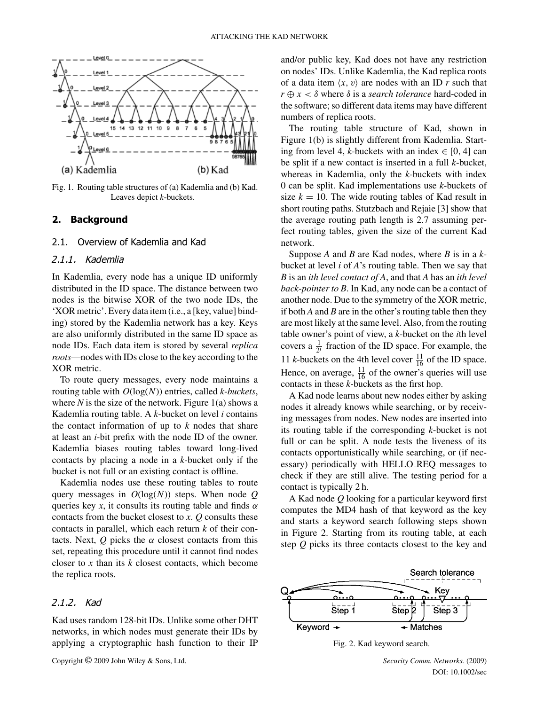

Fig. 1. Routing table structures of (a) Kademlia and (b) Kad. Leaves depict *k*-buckets.

### **2. Background**

#### 2.1. Overview of Kademlia and Kad

#### *2.1.1. Kademlia*

In Kademlia, every node has a unique ID uniformly distributed in the ID space. The distance between two nodes is the bitwise XOR of the two node IDs, the 'XOR metric'. Every data item (i.e., a [key, value] binding) stored by the Kademlia network has a key. Keys are also uniformly distributed in the same ID space as node IDs. Each data item is stored by several *replica roots*—nodes with IDs close to the key according to the XOR metric.

To route query messages, every node maintains a routing table with O(log(N)) entries, called *<sup>k</sup>*-*buckets*, where  $N$  is the size of the network. Figure  $1(a)$  shows a Kademlia routing table. A *k*-bucket on level *i* contains the contact information of up to *k* nodes that share at least an *i*-bit prefix with the node ID of the owner. Kademlia biases routing tables toward long-lived contacts by placing a node in a *k*-bucket only if the bucket is not full or an existing contact is offline.

Kademlia nodes use these routing tables to route query messages in  $O(log(N))$  steps. When node *Q* queries key *x*, it consults its routing table and finds  $\alpha$ contacts from the bucket closest to *x*. *Q* consults these contacts in parallel, which each return *k* of their contacts. Next,  $Q$  picks the  $\alpha$  closest contacts from this set, repeating this procedure until it cannot find nodes closer to *x* than its *k* closest contacts, which become the replica roots.

### *2.1.2. Kad*

Kad uses random 128-bit IDs. Unlike some other DHT networks, in which nodes must generate their IDs by applying a cryptographic hash function to their IP

Copyright © 2009 John Wiley & Sons, Ltd. *Security Comm. Networks.* (2009)

and/or public key, Kad does not have any restriction on nodes' IDs. Unlike Kademlia, the Kad replica roots of a data item  $\langle x, v \rangle$  are nodes with an ID *r* such that  $r \oplus x < \delta$  where  $\delta$  is a *search tolerance* hard-coded in the software; so different data items may have different numbers of replica roots.

The routing table structure of Kad, shown in Figure 1(b) is slightly different from Kademlia. Starting from level 4, *k*-buckets with an index  $\in$  [0, 4] can be split if a new contact is inserted in a full *k*-bucket, whereas in Kademlia, only the *k*-buckets with index 0 can be split. Kad implementations use *k*-buckets of size  $k = 10$ . The wide routing tables of Kad result in short routing paths. Stutzbach and Rejaie [3] show that the average routing path length is 2.7 assuming perfect routing tables, given the size of the current Kad network.

Suppose *A* and *B* are Kad nodes, where *B* is in a *k*bucket at level *i* of *A*'s routing table. Then we say that *B* is an *ith level contact of A*, and that *A* has an *ith level back-pointer to B*. In Kad, any node can be a contact of another node. Due to the symmetry of the XOR metric, if both *A* and *B* are in the other's routing table then they are most likely at the same level. Also, from the routing table owner's point of view, a *k*-bucket on the *i*th level covers a  $\frac{1}{2^i}$  fraction of the ID space. For example, the 11 *k*-buckets on the 4th level cover  $\frac{11}{16}$  of the ID space. Hence, on average,  $\frac{11}{16}$  of the owner's queries will use contacts in these *k*-buckets as the first hop.

A Kad node learns about new nodes either by asking nodes it already knows while searching, or by receiving messages from nodes. New nodes are inserted into its routing table if the corresponding *k*-bucket is not full or can be split. A node tests the liveness of its contacts opportunistically while searching, or (if necessary) periodically with HELLO REQ messages to check if they are still alive. The testing period for a contact is typically 2 h.

A Kad node *Q* looking for a particular keyword first computes the MD4 hash of that keyword as the key and starts a keyword search following steps shown in Figure 2. Starting from its routing table, at each step *Q* picks its three contacts closest to the key and





DOI: 10.1002/sec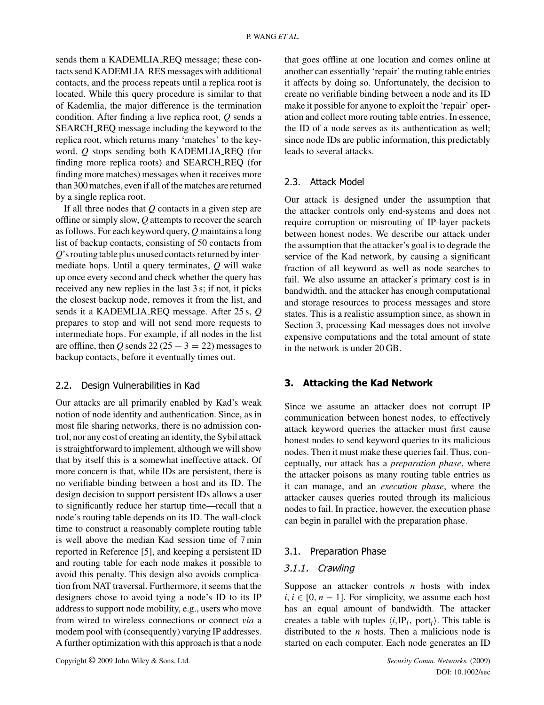sends them a KADEMLIA REQ message; these contacts send KADEMLIA RES messages with additional contacts, and the process repeats until a replica root is located. While this query procedure is similar to that of Kademlia, the major difference is the termination condition. After finding a live replica root, *Q* sends a SEARCH REQ message including the keyword to the replica root, which returns many 'matches' to the keyword. *Q* stops sending both KADEMLIA REQ (for finding more replica roots) and SEARCH REQ (for finding more matches) messages when it receives more than 300 matches, even if all of the matches are returned by a single replica root.

If all three nodes that *Q* contacts in a given step are offline or simply slow, *Q* attempts to recover the search as follows. For each keyword query, *Q* maintains a long list of backup contacts, consisting of 50 contacts from *Q*'s routing table plus unused contacts returned by intermediate hops. Until a query terminates, *Q* will wake up once every second and check whether the query has received any new replies in the last 3 s; if not, it picks the closest backup node, removes it from the list, and sends it a KADEMLIA REQ message. After 25 s, *Q* prepares to stop and will not send more requests to intermediate hops. For example, if all nodes in the list are offline, then *Q* sends 22 (25  $-$  3 = 22) messages to backup contacts, before it eventually times out.

#### 2.2. Design Vulnerabilities in Kad

Our attacks are all primarily enabled by Kad's weak notion of node identity and authentication. Since, as in most file sharing networks, there is no admission control, nor any cost of creating an identity, the Sybil attack is straightforward to implement, although we will show that by itself this is a somewhat ineffective attack. Of more concern is that, while IDs are persistent, there is no verifiable binding between a host and its ID. The design decision to support persistent IDs allows a user to significantly reduce her startup time—recall that a node's routing table depends on its ID. The wall-clock time to construct a reasonably complete routing table is well above the median Kad session time of 7 min reported in Reference [5], and keeping a persistent ID and routing table for each node makes it possible to avoid this penalty. This design also avoids complication from NAT traversal. Furthermore, it seems that the designers chose to avoid tying a node's ID to its IP address to support node mobility, e.g., users who move from wired to wireless connections or connect *via* a modem pool with (consequently) varying IP addresses. A further optimization with this approach is that a node that goes offline at one location and comes online at another can essentially 'repair' the routing table entries it affects by doing so. Unfortunately, the decision to create no verifiable binding between a node and its ID make it possible for anyone to exploit the 'repair' operation and collect more routing table entries. In essence, the ID of a node serves as its authentication as well; since node IDs are public information, this predictably leads to several attacks.

# 2.3. Attack Model

Our attack is designed under the assumption that the attacker controls only end-systems and does not require corruption or misrouting of IP-layer packets between honest nodes. We describe our attack under the assumption that the attacker's goal is to degrade the service of the Kad network, by causing a significant fraction of all keyword as well as node searches to fail. We also assume an attacker's primary cost is in bandwidth, and the attacker has enough computational and storage resources to process messages and store states. This is a realistic assumption since, as shown in Section 3, processing Kad messages does not involve expensive computations and the total amount of state in the network is under 20 GB.

# **3. Attacking the Kad Network**

Since we assume an attacker does not corrupt IP communication between honest nodes, to effectively attack keyword queries the attacker must first cause honest nodes to send keyword queries to its malicious nodes. Then it must make these queries fail. Thus, conceptually, our attack has a *preparation phase*, where the attacker poisons as many routing table entries as it can manage, and an *execution phase*, where the attacker causes queries routed through its malicious nodes to fail. In practice, however, the execution phase can begin in parallel with the preparation phase.

# 3.1. Preparation Phase

# *3.1.1. Crawling*

Suppose an attacker controls *n* hosts with index  $i, i \in [0, n - 1]$ . For simplicity, we assume each host has an equal amount of bandwidth. The attacker creates a table with tuples  $\langle i, \text{IP}_i, \text{port}_i \rangle$ . This table is distributed to the *n* hosts. Then a malicious node is started on each computer. Each node generates an ID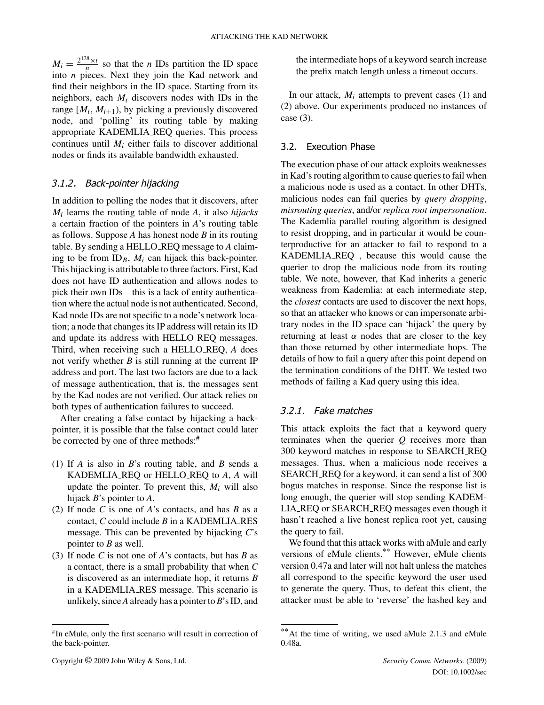$M_i = \frac{2^{128} \times i}{n}$  so that the *n* IDs partition the ID space into *n* pieces. Next they join the Kad network and find their neighbors in the ID space. Starting from its neighbors, each  $M_i$  discovers nodes with IDs in the range  $[M_i, M_{i+1})$ , by picking a previously discovered node, and 'polling' its routing table by making appropriate KADEMLIA REQ queries. This process continues until  $M_i$  either fails to discover additional nodes or finds its available bandwidth exhausted.

# *3.1.2. Back-pointer hijacking*

In addition to polling the nodes that it discovers, after Mi learns the routing table of node *<sup>A</sup>*, it also *hijacks* a certain fraction of the pointers in *A*'s routing table as follows. Suppose *A* has honest node *B* in its routing table. By sending a HELLO REQ message to *A* claiming to be from  $ID_B$ ,  $M_i$  can hijack this back-pointer. This hijacking is attributable to three factors. First, Kad does not have ID authentication and allows nodes to pick their own IDs—this is a lack of entity authentication where the actual node is not authenticated. Second, Kad node IDs are not specific to a node's network location; a node that changes its IP address will retain its ID and update its address with HELLO REQ messages. Third, when receiving such a HELLO REQ, *A* does not verify whether *B* is still running at the current IP address and port. The last two factors are due to a lack of message authentication, that is, the messages sent by the Kad nodes are not verified. Our attack relies on both types of authentication failures to succeed.

After creating a false contact by hijacking a backpointer, it is possible that the false contact could later be corrected by one of three methods:#

- (1) If *A* is also in *B*'s routing table, and *B* sends a KADEMLIA REQ or HELLO REQ to *A*, *A* will update the pointer. To prevent this,  $M_i$  will also hijack *B*'s pointer to *A*.
- (2) If node *C* is one of *A*'s contacts, and has *B* as a contact, *C* could include *B* in a KADEMLIA RES message. This can be prevented by hijacking *C*'s pointer to *B* as well.
- (3) If node *C* is not one of *A*'s contacts, but has *B* as a contact, there is a small probability that when *C* is discovered as an intermediate hop, it returns *B* in a KADEMLIA RES message. This scenario is unlikely, since*A*already has a pointer to *B*'s ID, and

the intermediate hops of a keyword search increase the prefix match length unless a timeout occurs.

In our attack,  $M_i$  attempts to prevent cases (1) and (2) above. Our experiments produced no instances of case (3).

# 3.2. Execution Phase

The execution phase of our attack exploits weaknesses in Kad's routing algorithm to cause queries to fail when a malicious node is used as a contact. In other DHTs, malicious nodes can fail queries by *query dropping*, *misrouting queries*, and/or *replica root impersonation*. The Kademlia parallel routing algorithm is designed to resist dropping, and in particular it would be counterproductive for an attacker to fail to respond to a KADEMLIA REQ , because this would cause the querier to drop the malicious node from its routing table. We note, however, that Kad inherits a generic weakness from Kademlia: at each intermediate step, the *closest* contacts are used to discover the next hops, so that an attacker who knows or can impersonate arbitrary nodes in the ID space can 'hijack' the query by returning at least  $\alpha$  nodes that are closer to the key than those returned by other intermediate hops. The details of how to fail a query after this point depend on the termination conditions of the DHT. We tested two methods of failing a Kad query using this idea.

# *3.2.1. Fake matches*

This attack exploits the fact that a keyword query terminates when the querier *Q* receives more than 300 keyword matches in response to SEARCH REQ messages. Thus, when a malicious node receives a SEARCH REQ for a keyword, it can send a list of 300 bogus matches in response. Since the response list is long enough, the querier will stop sending KADEM-LIA REQ or SEARCH REQ messages even though it hasn't reached a live honest replica root yet, causing the query to fail.

We found that this attack works with aMule and early versions of eMule clients.<sup>\*\*</sup> However, eMule clients version 0.47a and later will not halt unless the matches all correspond to the specific keyword the user used to generate the query. Thus, to defeat this client, the attacker must be able to 'reverse' the hashed key and

<sup>#</sup>In eMule, only the first scenario will result in correction of the back-pointer.

<sup>\*\*</sup>At the time of writing, we used aMule 2.1.3 and eMule 0.48a.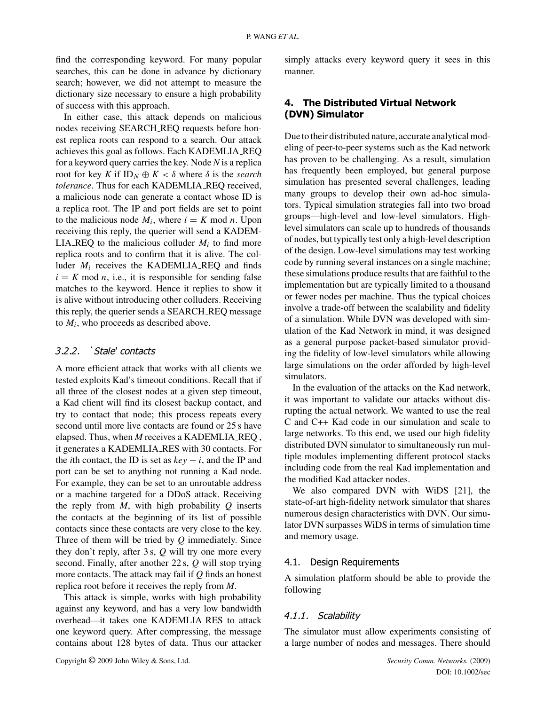find the corresponding keyword. For many popular searches, this can be done in advance by dictionary search; however, we did not attempt to measure the dictionary size necessary to ensure a high probability of success with this approach.

In either case, this attack depends on malicious nodes receiving SEARCH REQ requests before honest replica roots can respond to a search. Our attack achieves this goal as follows. Each KADEMLIA REQ for a keyword query carries the key. Node *N* is a replica root for key *K* if  $ID_N \oplus K < \delta$  where  $\delta$  is the *search tolerance*. Thus for each KADEMLIA REQ received, a malicious node can generate a contact whose ID is a replica root. The IP and port fields are set to point to the malicious node  $M_i$ , where  $i = K \text{ mod } n$ . Upon receiving this reply, the querier will send a KADEM-LIA REQ to the malicious colluder  $M_i$  to find more replica roots and to confirm that it is alive. The colluder  $M_i$  receives the KADEMLIA REQ and finds  $i = K \mod n$ , i.e., it is responsible for sending false matches to the keyword. Hence it replies to show it is alive without introducing other colluders. Receiving this reply, the querier sends a SEARCH REQ message to  $M_i$ , who proceeds as described above.

### *3.2.2. `Stale' contacts*

A more efficient attack that works with all clients we tested exploits Kad's timeout conditions. Recall that if all three of the closest nodes at a given step timeout, a Kad client will find its closest backup contact, and try to contact that node; this process repeats every second until more live contacts are found or 25 s have elapsed. Thus, when *M* receives a KADEMLIA REQ , it generates a KADEMLIA RES with 30 contacts. For the *i*th contact, the ID is set as  $key - i$ , and the IP and port can be set to anything not running a Kad node. For example, they can be set to an unroutable address or a machine targeted for a DDoS attack. Receiving the reply from *M*, with high probability *Q* inserts the contacts at the beginning of its list of possible contacts since these contacts are very close to the key. Three of them will be tried by *Q* immediately. Since they don't reply, after 3 s, *Q* will try one more every second. Finally, after another 22 s, *Q* will stop trying more contacts. The attack may fail if *Q* finds an honest replica root before it receives the reply from *M*.

This attack is simple, works with high probability against any keyword, and has a very low bandwidth overhead—it takes one KADEMLIA RES to attack one keyword query. After compressing, the message contains about 128 bytes of data. Thus our attacker simply attacks every keyword query it sees in this manner.

# **4. The Distributed Virtual Network (DVN) Simulator**

Due to their distributed nature, accurate analytical modeling of peer-to-peer systems such as the Kad network has proven to be challenging. As a result, simulation has frequently been employed, but general purpose simulation has presented several challenges, leading many groups to develop their own ad-hoc simulators. Typical simulation strategies fall into two broad groups—high-level and low-level simulators. Highlevel simulators can scale up to hundreds of thousands of nodes, but typically test only a high-level description of the design. Low-level simulations may test working code by running several instances on a single machine; these simulations produce results that are faithful to the implementation but are typically limited to a thousand or fewer nodes per machine. Thus the typical choices involve a trade-off between the scalability and fidelity of a simulation. While DVN was developed with simulation of the Kad Network in mind, it was designed as a general purpose packet-based simulator providing the fidelity of low-level simulators while allowing large simulations on the order afforded by high-level simulators.

In the evaluation of the attacks on the Kad network, it was important to validate our attacks without disrupting the actual network. We wanted to use the real C and C++ Kad code in our simulation and scale to large networks. To this end, we used our high fidelity distributed DVN simulator to simultaneously run multiple modules implementing different protocol stacks including code from the real Kad implementation and the modified Kad attacker nodes.

We also compared DVN with WiDS [21], the state-of-art high-fidelity network simulator that shares numerous design characteristics with DVN. Our simulator DVN surpasses WiDS in terms of simulation time and memory usage.

#### 4.1. Design Requirements

A simulation platform should be able to provide the following

#### *4.1.1. Scalability*

The simulator must allow experiments consisting of a large number of nodes and messages. There should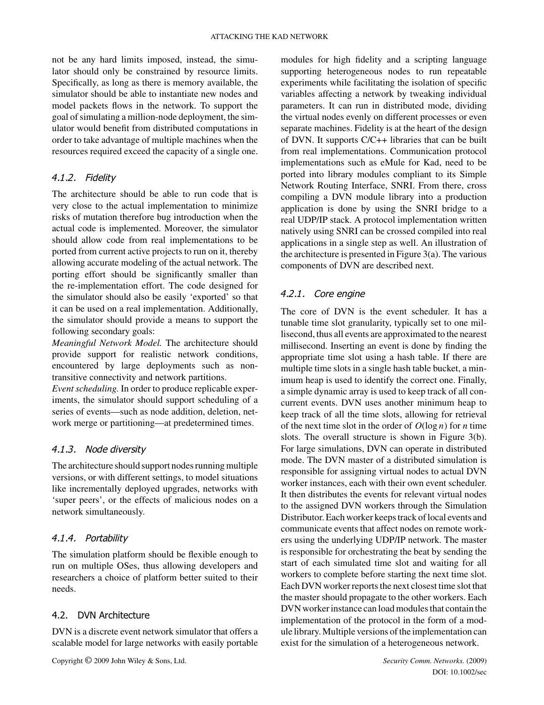not be any hard limits imposed, instead, the simulator should only be constrained by resource limits. Specifically, as long as there is memory available, the simulator should be able to instantiate new nodes and model packets flows in the network. To support the goal of simulating a million-node deployment, the simulator would benefit from distributed computations in order to take advantage of multiple machines when the resources required exceed the capacity of a single one.

# *4.1.2. Fidelity*

The architecture should be able to run code that is very close to the actual implementation to minimize risks of mutation therefore bug introduction when the actual code is implemented. Moreover, the simulator should allow code from real implementations to be ported from current active projects to run on it, thereby allowing accurate modeling of the actual network. The porting effort should be significantly smaller than the re-implementation effort. The code designed for the simulator should also be easily 'exported' so that it can be used on a real implementation. Additionally, the simulator should provide a means to support the following secondary goals:

*Meaningful Network Model.* The architecture should provide support for realistic network conditions, encountered by large deployments such as nontransitive connectivity and network partitions.

*Event scheduling.* In order to produce replicable experiments, the simulator should support scheduling of a series of events—such as node addition, deletion, network merge or partitioning—at predetermined times.

# *4.1.3. Node diversity*

The architecture should support nodes running multiple versions, or with different settings, to model situations like incrementally deployed upgrades, networks with 'super peers', or the effects of malicious nodes on a network simultaneously.

# *4.1.4. Portability*

The simulation platform should be flexible enough to run on multiple OSes, thus allowing developers and researchers a choice of platform better suited to their needs.

# 4.2. DVN Architecture

DVN is a discrete event network simulator that offers a scalable model for large networks with easily portable

Copyright © 2009 John Wiley & Sons, Ltd. *Security Comm. Networks.* (2009)

modules for high fidelity and a scripting language supporting heterogeneous nodes to run repeatable experiments while facilitating the isolation of specific variables affecting a network by tweaking individual parameters. It can run in distributed mode, dividing the virtual nodes evenly on different processes or even separate machines. Fidelity is at the heart of the design of DVN. It supports C/C++ libraries that can be built from real implementations. Communication protocol implementations such as eMule for Kad, need to be ported into library modules compliant to its Simple Network Routing Interface, SNRI. From there, cross compiling a DVN module library into a production application is done by using the SNRI bridge to a real UDP/IP stack. A protocol implementation written natively using SNRI can be crossed compiled into real applications in a single step as well. An illustration of the architecture is presented in Figure 3(a). The various components of DVN are described next.

# *4.2.1. Core engine*

The core of DVN is the event scheduler. It has a tunable time slot granularity, typically set to one millisecond, thus all events are approximated to the nearest millisecond. Inserting an event is done by finding the appropriate time slot using a hash table. If there are multiple time slots in a single hash table bucket, a minimum heap is used to identify the correct one. Finally, a simple dynamic array is used to keep track of all concurrent events. DVN uses another minimum heap to keep track of all the time slots, allowing for retrieval of the next time slot in the order of  $O(\log n)$  for *n* time slots. The overall structure is shown in Figure 3(b). For large simulations, DVN can operate in distributed mode. The DVN master of a distributed simulation is responsible for assigning virtual nodes to actual DVN worker instances, each with their own event scheduler. It then distributes the events for relevant virtual nodes to the assigned DVN workers through the Simulation Distributor. Each worker keeps track of local events and communicate events that affect nodes on remote workers using the underlying UDP/IP network. The master is responsible for orchestrating the beat by sending the start of each simulated time slot and waiting for all workers to complete before starting the next time slot. Each DVN worker reports the next closest time slot that the master should propagate to the other workers. Each DVN worker instance can load modules that contain the implementation of the protocol in the form of a module library. Multiple versions of the implementation can exist for the simulation of a heterogeneous network.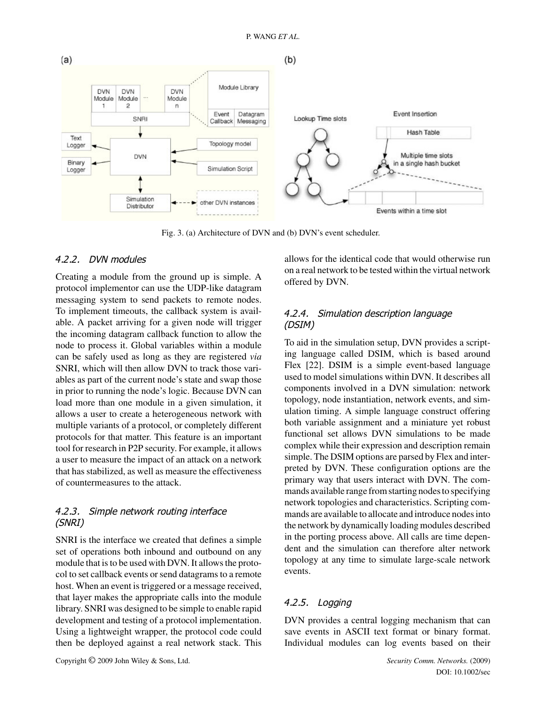

Fig. 3. (a) Architecture of DVN and (b) DVN's event scheduler.

#### *4.2.2. DVN modules*

Creating a module from the ground up is simple. A protocol implementor can use the UDP-like datagram messaging system to send packets to remote nodes. To implement timeouts, the callback system is available. A packet arriving for a given node will trigger the incoming datagram callback function to allow the node to process it. Global variables within a module can be safely used as long as they are registered *via* SNRI, which will then allow DVN to track those variables as part of the current node's state and swap those in prior to running the node's logic. Because DVN can load more than one module in a given simulation, it allows a user to create a heterogeneous network with multiple variants of a protocol, or completely different protocols for that matter. This feature is an important tool for research in P2P security. For example, it allows a user to measure the impact of an attack on a network that has stabilized, as well as measure the effectiveness of countermeasures to the attack.

# *4.2.3. Simple network routing interface (SNRI)*

SNRI is the interface we created that defines a simple set of operations both inbound and outbound on any module that is to be used with DVN. It allows the protocol to set callback events or send datagrams to a remote host. When an event is triggered or a message received, that layer makes the appropriate calls into the module library. SNRI was designed to be simple to enable rapid development and testing of a protocol implementation. Using a lightweight wrapper, the protocol code could then be deployed against a real network stack. This allows for the identical code that would otherwise run on a real network to be tested within the virtual network offered by DVN.

# *4.2.4. Simulation description language (DSIM)*

To aid in the simulation setup, DVN provides a scripting language called DSIM, which is based around Flex [22]. DSIM is a simple event-based language used to model simulations within DVN. It describes all components involved in a DVN simulation: network topology, node instantiation, network events, and simulation timing. A simple language construct offering both variable assignment and a miniature yet robust functional set allows DVN simulations to be made complex while their expression and description remain simple. The DSIM options are parsed by Flex and interpreted by DVN. These configuration options are the primary way that users interact with DVN. The commands available range from starting nodes to specifying network topologies and characteristics. Scripting commands are available to allocate and introduce nodes into the network by dynamically loading modules described in the porting process above. All calls are time dependent and the simulation can therefore alter network topology at any time to simulate large-scale network events.

# *4.2.5. Logging*

DVN provides a central logging mechanism that can save events in ASCII text format or binary format. Individual modules can log events based on their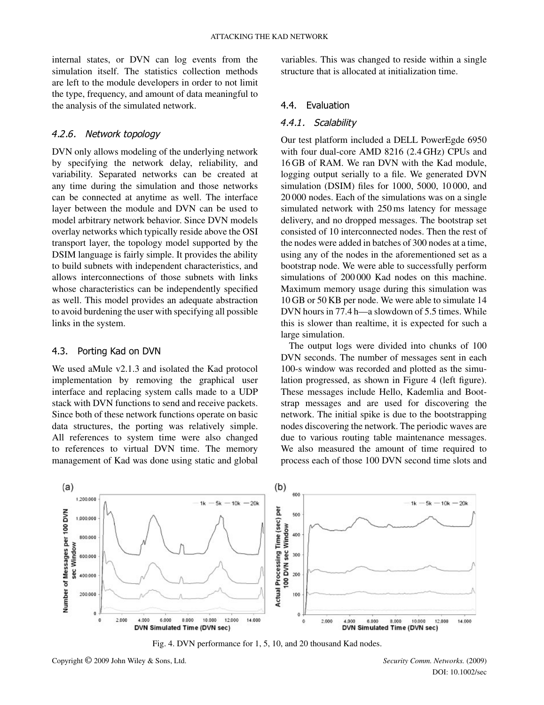internal states, or DVN can log events from the simulation itself. The statistics collection methods are left to the module developers in order to not limit the type, frequency, and amount of data meaningful to the analysis of the simulated network.

### *4.2.6. Network topology*

DVN only allows modeling of the underlying network by specifying the network delay, reliability, and variability. Separated networks can be created at any time during the simulation and those networks can be connected at anytime as well. The interface layer between the module and DVN can be used to model arbitrary network behavior. Since DVN models overlay networks which typically reside above the OSI transport layer, the topology model supported by the DSIM language is fairly simple. It provides the ability to build subnets with independent characteristics, and allows interconnections of those subnets with links whose characteristics can be independently specified as well. This model provides an adequate abstraction to avoid burdening the user with specifying all possible links in the system.

### 4.3. Porting Kad on DVN

We used aMule v2.1.3 and isolated the Kad protocol implementation by removing the graphical user interface and replacing system calls made to a UDP stack with DVN functions to send and receive packets. Since both of these network functions operate on basic data structures, the porting was relatively simple. All references to system time were also changed to references to virtual DVN time. The memory management of Kad was done using static and global variables. This was changed to reside within a single structure that is allocated at initialization time.

#### 4.4. Evaluation

### *4.4.1. Scalability*

Our test platform included a DELL PowerEgde 6950 with four dual-core AMD 8216 (2.4 GHz) CPUs and 16 GB of RAM. We ran DVN with the Kad module, logging output serially to a file. We generated DVN simulation (DSIM) files for 1000, 5000, 10 000, and 20 000 nodes. Each of the simulations was on a single simulated network with 250 ms latency for message delivery, and no dropped messages. The bootstrap set consisted of 10 interconnected nodes. Then the rest of the nodes were added in batches of 300 nodes at a time, using any of the nodes in the aforementioned set as a bootstrap node. We were able to successfully perform simulations of 200 000 Kad nodes on this machine. Maximum memory usage during this simulation was 10 GB or 50 KB per node. We were able to simulate 14 DVN hours in 77.4 h—a slowdown of 5.5 times. While this is slower than realtime, it is expected for such a large simulation.

The output logs were divided into chunks of 100 DVN seconds. The number of messages sent in each 100-s window was recorded and plotted as the simulation progressed, as shown in Figure 4 (left figure). These messages include Hello, Kademlia and Bootstrap messages and are used for discovering the network. The initial spike is due to the bootstrapping nodes discovering the network. The periodic waves are due to various routing table maintenance messages. We also measured the amount of time required to process each of those 100 DVN second time slots and



Fig. 4. DVN performance for 1, 5, 10, and 20 thousand Kad nodes.

Copyright © 2009 John Wiley & Sons, Ltd. *Security Comm. Networks.* (2009)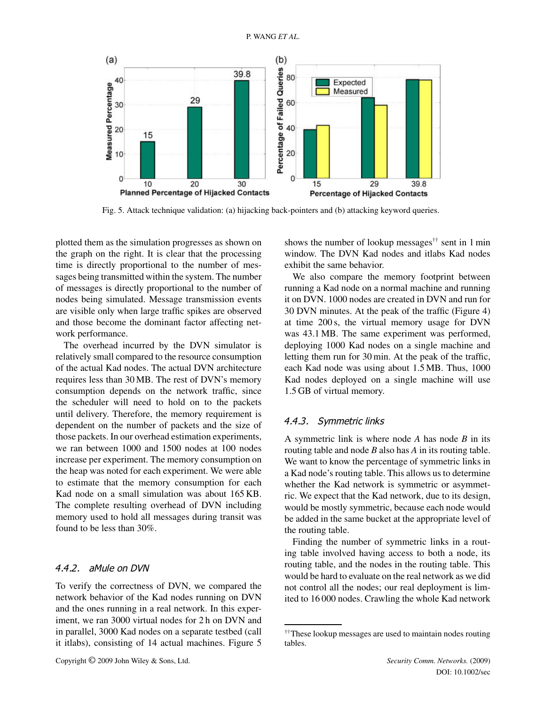

Fig. 5. Attack technique validation: (a) hijacking back-pointers and (b) attacking keyword queries.

plotted them as the simulation progresses as shown on the graph on the right. It is clear that the processing time is directly proportional to the number of messages being transmitted within the system. The number of messages is directly proportional to the number of nodes being simulated. Message transmission events are visible only when large traffic spikes are observed and those become the dominant factor affecting network performance.

The overhead incurred by the DVN simulator is relatively small compared to the resource consumption of the actual Kad nodes. The actual DVN architecture requires less than 30 MB. The rest of DVN's memory consumption depends on the network traffic, since the scheduler will need to hold on to the packets until delivery. Therefore, the memory requirement is dependent on the number of packets and the size of those packets. In our overhead estimation experiments, we ran between 1000 and 1500 nodes at 100 nodes increase per experiment. The memory consumption on the heap was noted for each experiment. We were able to estimate that the memory consumption for each Kad node on a small simulation was about 165 KB. The complete resulting overhead of DVN including memory used to hold all messages during transit was found to be less than 30%.

#### *4.4.2. aMule on DVN*

To verify the correctness of DVN, we compared the network behavior of the Kad nodes running on DVN and the ones running in a real network. In this experiment, we ran 3000 virtual nodes for 2 h on DVN and in parallel, 3000 Kad nodes on a separate testbed (call it itlabs), consisting of 14 actual machines. Figure 5 shows the number of lookup messages<sup> $\dagger\dagger$ </sup> sent in 1 min window. The DVN Kad nodes and itlabs Kad nodes exhibit the same behavior.

We also compare the memory footprint between running a Kad node on a normal machine and running it on DVN. 1000 nodes are created in DVN and run for 30 DVN minutes. At the peak of the traffic (Figure 4) at time 200 s, the virtual memory usage for DVN was 43.1 MB. The same experiment was performed, deploying 1000 Kad nodes on a single machine and letting them run for 30 min. At the peak of the traffic, each Kad node was using about 1.5 MB. Thus, 1000 Kad nodes deployed on a single machine will use 1.5 GB of virtual memory.

### *4.4.3. Symmetric links*

A symmetric link is where node *A* has node *B* in its routing table and node *B* also has *A* in its routing table. We want to know the percentage of symmetric links in a Kad node's routing table. This allows us to determine whether the Kad network is symmetric or asymmetric. We expect that the Kad network, due to its design, would be mostly symmetric, because each node would be added in the same bucket at the appropriate level of the routing table.

Finding the number of symmetric links in a routing table involved having access to both a node, its routing table, and the nodes in the routing table. This would be hard to evaluate on the real network as we did not control all the nodes; our real deployment is limited to 16 000 nodes. Crawling the whole Kad network

<sup>††</sup>These lookup messages are used to maintain nodes routing tables.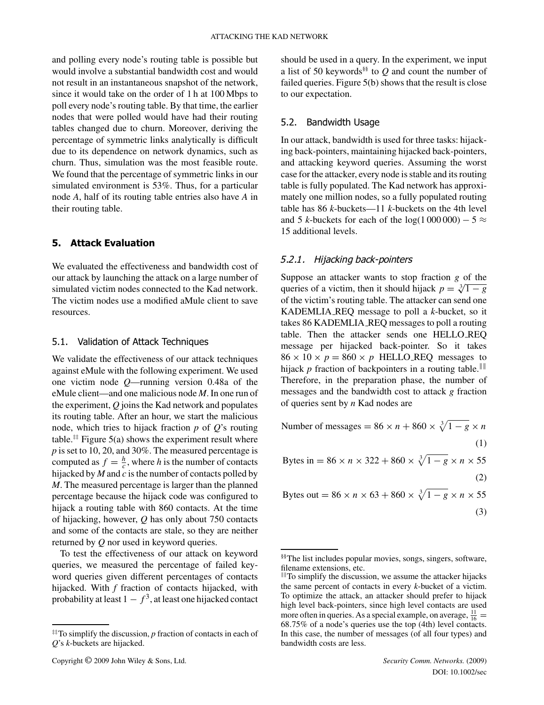and polling every node's routing table is possible but would involve a substantial bandwidth cost and would not result in an instantaneous snapshot of the network, since it would take on the order of 1 h at 100 Mbps to poll every node's routing table. By that time, the earlier nodes that were polled would have had their routing tables changed due to churn. Moreover, deriving the percentage of symmetric links analytically is difficult due to its dependence on network dynamics, such as churn. Thus, simulation was the most feasible route. We found that the percentage of symmetric links in our simulated environment is 53%. Thus, for a particular node *A*, half of its routing table entries also have *A* in their routing table.

# **5. Attack Evaluation**

We evaluated the effectiveness and bandwidth cost of our attack by launching the attack on a large number of simulated victim nodes connected to the Kad network. The victim nodes use a modified aMule client to save resources.

#### 5.1. Validation of Attack Techniques

We validate the effectiveness of our attack techniques against eMule with the following experiment. We used one victim node *Q*—running version 0.48a of the eMule client—and one malicious node *M*. In one run of the experiment, *Q* joins the Kad network and populates its routing table. After an hour, we start the malicious node, which tries to hijack fraction *p* of *Q*'s routing table.<sup> $\ddagger\ddagger$ </sup> Figure 5(a) shows the experiment result where *p* is set to 10, 20, and 30%. The measured percentage is computed as  $f = \frac{h}{c}$ , where *h* is the number of contacts<br>hijacked by *M* and *c* is the number of contacts polled by hijacked by *M* and *c* is the number of contacts polled by *M*. The measured percentage is larger than the planned percentage because the hijack code was configured to hijack a routing table with 860 contacts. At the time of hijacking, however, *Q* has only about 750 contacts and some of the contacts are stale, so they are neither returned by *Q* nor used in keyword queries.

To test the effectiveness of our attack on keyword queries, we measured the percentage of failed keyword queries given different percentages of contacts hijacked. With *f* fraction of contacts hijacked, with probability at least  $1 - f^3$ , at least one hijacked contact should be used in a query. In the experiment, we input a list of 50 keywords§§ to *Q* and count the number of failed queries. Figure 5(b) shows that the result is close to our expectation.

#### 5.2. Bandwidth Usage

In our attack, bandwidth is used for three tasks: hijacking back-pointers, maintaining hijacked back-pointers, and attacking keyword queries. Assuming the worst case for the attacker, every node is stable and its routing table is fully populated. The Kad network has approximately one million nodes, so a fully populated routing table has 86 *k*-buckets—11 *k*-buckets on the 4th level and 5 *k*-buckets for each of the  $log(1\,000\,000) - 5 \approx$ 15 additional levels.

#### *5.2.1. Hijacking back-pointers*

Suppose an attacker wants to stop fraction *g* of the queries of a victim, then it should hijack  $p = \sqrt[3]{1 - g}$ of the victim's routing table. The attacker can send one KADEMLIA REQ message to poll a *k*-bucket, so it takes 86 KADEMLIA\_REQ messages to poll a routing table. Then the attacker sends one HELLO REQ message per hijacked back-pointer. So it takes  $86 \times 10 \times p = 860 \times p$  HELLO\_REQ messages to hijack  $p$  fraction of backpointers in a routing table.<sup> $\mathbb{H}$ </sup> Therefore, in the preparation phase, the number of messages and the bandwidth cost to attack *g* fraction of queries sent by *n* Kad nodes are

Number of messages =  $86 \times n + 860 \times \sqrt[3]{1 - g} \times n$ 

$$
- (1)
$$

Bytes in =  $86 \times n \times 322 + 860 \times \sqrt[3]{1 - g} \times n \times 55$ 

$$
(2)
$$

$$
Bytes out = 86 \times n \times 63 + 860 \times \sqrt[3]{1 - g} \times n \times 55
$$

$$
(\mathbf{3})
$$

<sup>‡‡</sup>To simplify the discussion, *p* fraction of contacts in each of *Q*'s *k*-buckets are hijacked.

Copyright © 2009 John Wiley & Sons, Ltd. *Security Comm. Networks.* (2009)

<sup>§§</sup>The list includes popular movies, songs, singers, software, filename extensions, etc.

 $\mathbb{H}$  To simplify the discussion, we assume the attacker hijacks the same percent of contacts in every *k*-bucket of a victim. To optimize the attack, an attacker should prefer to hijack high level back-pointers, since high level contacts are used more often in queries. As a special example, on average,  $\frac{11}{16}$  = <sup>68</sup>.75% of a node's queries use the top (4th) level contacts. In this case, the number of messages (of all four types) and bandwidth costs are less.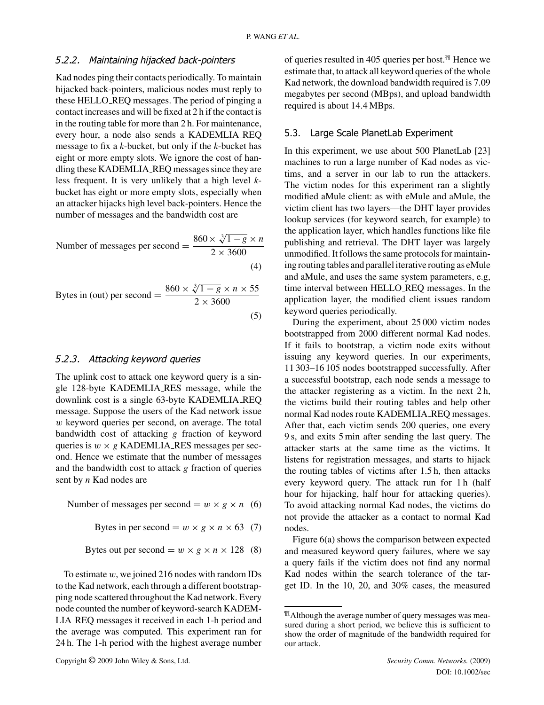#### *5.2.2. Maintaining hijacked back-pointers*

Kad nodes ping their contacts periodically. To maintain hijacked back-pointers, malicious nodes must reply to these HELLO REQ messages. The period of pinging a contact increases and will be fixed at 2 h if the contact is in the routing table for more than 2 h. For maintenance, every hour, a node also sends a KADEMLIA REQ message to fix a *k*-bucket, but only if the *k*-bucket has eight or more empty slots. We ignore the cost of handling these KADEMLIA REQ messages since they are less frequent. It is very unlikely that a high level *k*bucket has eight or more empty slots, especially when an attacker hijacks high level back-pointers. Hence the number of messages and the bandwidth cost are

Number of messages per second =  $\frac{860 \times \sqrt[3]{1 - g} \times n}{2 \times 3600}$ (4)

$$
\text{Bytes in (out) per second} = \frac{860 \times \sqrt[3]{1 - g} \times n \times 55}{2 \times 3600} \tag{5}
$$

#### *5.2.3. Attacking keyword queries*

The uplink cost to attack one keyword query is a single 128-byte KADEMLIA RES message, while the downlink cost is a single 63-byte KADEMLIA REQ message. Suppose the users of the Kad network issue w keyword queries per second, on average. The total bandwidth cost of attacking *g* fraction of keyword queries is  $w \times g$  KADEMLIA RES messages per second. Hence we estimate that the number of messages and the bandwidth cost to attack *g* fraction of queries sent by *n* Kad nodes are

Number of messages per second  $= w \times g \times n$  (6)

Bytes in per second  $= w \times g \times n \times 63$  (7)

Bytes out per second =  $w \times g \times n \times 128$  (8)

To estimate  $w$ , we joined 216 nodes with random IDs to the Kad network, each through a different bootstrapping node scattered throughout the Kad network. Every node counted the number of keyword-search KADEM-LIA REQ messages it received in each 1-h period and the average was computed. This experiment ran for 24 h. The 1-h period with the highest average number of queries resulted in 405 queries per host.¶¶ Hence we estimate that, to attack all keyword queries of the whole Kad network, the download bandwidth required is 7.09 megabytes per second (MBps), and upload bandwidth required is about 14.4 MBps.

#### 5.3. Large Scale PlanetLab Experiment

In this experiment, we use about 500 PlanetLab [23] machines to run a large number of Kad nodes as victims, and a server in our lab to run the attackers. The victim nodes for this experiment ran a slightly modified aMule client: as with eMule and aMule, the victim client has two layers—the DHT layer provides lookup services (for keyword search, for example) to the application layer, which handles functions like file publishing and retrieval. The DHT layer was largely unmodified. It follows the same protocols for maintaining routing tables and parallel iterative routing as eMule and aMule, and uses the same system parameters, e.g, time interval between HELLO REQ messages. In the application layer, the modified client issues random keyword queries periodically.

During the experiment, about 25 000 victim nodes bootstrapped from 2000 different normal Kad nodes. If it fails to bootstrap, a victim node exits without issuing any keyword queries. In our experiments, 11 303–16 105 nodes bootstrapped successfully. After a successful bootstrap, each node sends a message to the attacker registering as a victim. In the next 2 h, the victims build their routing tables and help other normal Kad nodes route KADEMLIA REQ messages. After that, each victim sends 200 queries, one every 9 s, and exits 5 min after sending the last query. The attacker starts at the same time as the victims. It listens for registration messages, and starts to hijack the routing tables of victims after 1.5 h, then attacks every keyword query. The attack run for 1 h (half hour for hijacking, half hour for attacking queries). To avoid attacking normal Kad nodes, the victims do not provide the attacker as a contact to normal Kad nodes.

Figure 6(a) shows the comparison between expected and measured keyword query failures, where we say a query fails if the victim does not find any normal Kad nodes within the search tolerance of the target ID. In the 10, 20, and 30% cases, the measured

<sup>¶¶</sup>Although the average number of query messages was measured during a short period, we believe this is sufficient to show the order of magnitude of the bandwidth required for our attack.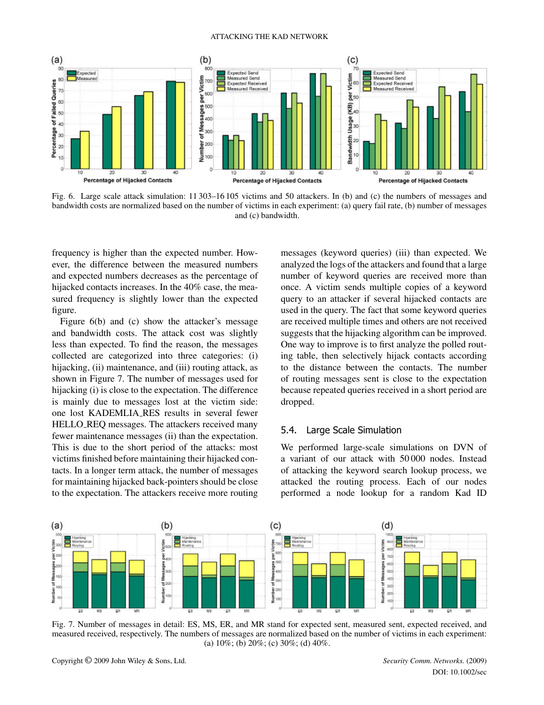

Fig. 6. Large scale attack simulation: 11 303–16 105 victims and 50 attackers. In (b) and (c) the numbers of messages and bandwidth costs are normalized based on the number of victims in each experiment: (a) query fail rate, (b) number of messages and (c) bandwidth.

frequency is higher than the expected number. However, the difference between the measured numbers and expected numbers decreases as the percentage of hijacked contacts increases. In the 40% case, the measured frequency is slightly lower than the expected figure.

Figure 6(b) and (c) show the attacker's message and bandwidth costs. The attack cost was slightly less than expected. To find the reason, the messages collected are categorized into three categories: (i) hijacking, (ii) maintenance, and (iii) routing attack, as shown in Figure 7. The number of messages used for hijacking (i) is close to the expectation. The difference is mainly due to messages lost at the victim side: one lost KADEMLIA RES results in several fewer HELLO REQ messages. The attackers received many fewer maintenance messages (ii) than the expectation. This is due to the short period of the attacks: most victims finished before maintaining their hijacked contacts. In a longer term attack, the number of messages for maintaining hijacked back-pointers should be close to the expectation. The attackers receive more routing messages (keyword queries) (iii) than expected. We analyzed the logs of the attackers and found that a large number of keyword queries are received more than once. A victim sends multiple copies of a keyword query to an attacker if several hijacked contacts are used in the query. The fact that some keyword queries are received multiple times and others are not received suggests that the hijacking algorithm can be improved. One way to improve is to first analyze the polled routing table, then selectively hijack contacts according to the distance between the contacts. The number of routing messages sent is close to the expectation because repeated queries received in a short period are dropped.

#### 5.4. Large Scale Simulation

We performed large-scale simulations on DVN of a variant of our attack with 50 000 nodes. Instead of attacking the keyword search lookup process, we attacked the routing process. Each of our nodes performed a node lookup for a random Kad ID



Fig. 7. Number of messages in detail: ES, MS, ER, and MR stand for expected sent, measured sent, expected received, and measured received, respectively. The numbers of messages are normalized based on the number of victims in each experiment: (a)  $10\%$ ; (b)  $20\%$ ; (c)  $30\%$ ; (d)  $40\%$ .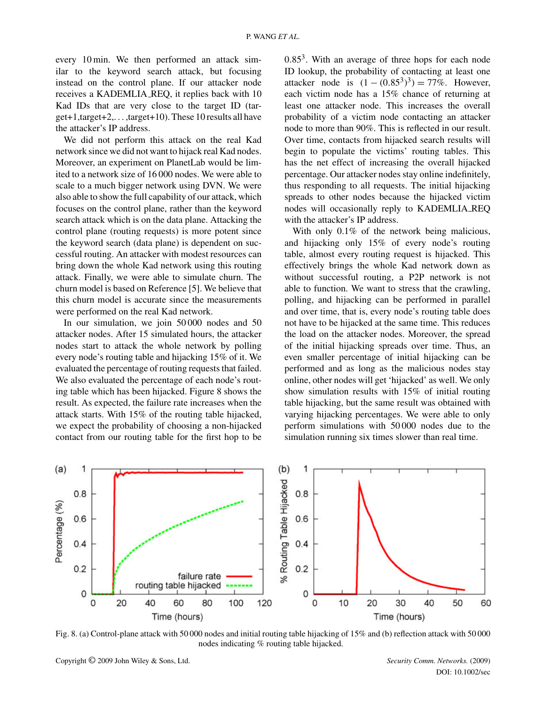every 10 min. We then performed an attack similar to the keyword search attack, but focusing instead on the control plane. If our attacker node receives a KADEMLIA REQ, it replies back with 10 Kad IDs that are very close to the target ID (target+1,target+2,. . . ,target+10). These 10 results all have the attacker's IP address.

We did not perform this attack on the real Kad network since we did not want to hijack real Kad nodes. Moreover, an experiment on PlanetLab would be limited to a network size of 16 000 nodes. We were able to scale to a much bigger network using DVN. We were also able to show the full capability of our attack, which focuses on the control plane, rather than the keyword search attack which is on the data plane. Attacking the control plane (routing requests) is more potent since the keyword search (data plane) is dependent on successful routing. An attacker with modest resources can bring down the whole Kad network using this routing attack. Finally, we were able to simulate churn. The churn model is based on Reference [5]. We believe that this churn model is accurate since the measurements were performed on the real Kad network.

In our simulation, we join 50 000 nodes and 50 attacker nodes. After 15 simulated hours, the attacker nodes start to attack the whole network by polling every node's routing table and hijacking 15% of it. We evaluated the percentage of routing requests that failed. We also evaluated the percentage of each node's routing table which has been hijacked. Figure 8 shows the result. As expected, the failure rate increases when the attack starts. With 15% of the routing table hijacked, we expect the probability of choosing a non-hijacked contact from our routing table for the first hop to be  $0.85<sup>3</sup>$ . With an average of three hops for each node ID lookup, the probability of contacting at least one attacker node is  $(1 - (0.85)^3) = 77\%$ . However, each victim node has a 15% chance of returning at least one attacker node. This increases the overall probability of a victim node contacting an attacker node to more than 90%. This is reflected in our result. Over time, contacts from hijacked search results will begin to populate the victims' routing tables. This has the net effect of increasing the overall hijacked percentage. Our attacker nodes stay online indefinitely, thus responding to all requests. The initial hijacking spreads to other nodes because the hijacked victim nodes will occasionally reply to KADEMLIA REQ with the attacker's IP address.

With only  $0.1\%$  of the network being malicious, and hijacking only 15% of every node's routing table, almost every routing request is hijacked. This effectively brings the whole Kad network down as without successful routing, a P2P network is not able to function. We want to stress that the crawling, polling, and hijacking can be performed in parallel and over time, that is, every node's routing table does not have to be hijacked at the same time. This reduces the load on the attacker nodes. Moreover, the spread of the initial hijacking spreads over time. Thus, an even smaller percentage of initial hijacking can be performed and as long as the malicious nodes stay online, other nodes will get 'hijacked' as well. We only show simulation results with 15% of initial routing table hijacking, but the same result was obtained with varying hijacking percentages. We were able to only perform simulations with 50 000 nodes due to the simulation running six times slower than real time.



Fig. 8. (a) Control-plane attack with 50 000 nodes and initial routing table hijacking of 15% and (b) reflection attack with 50 000 nodes indicating % routing table hijacked.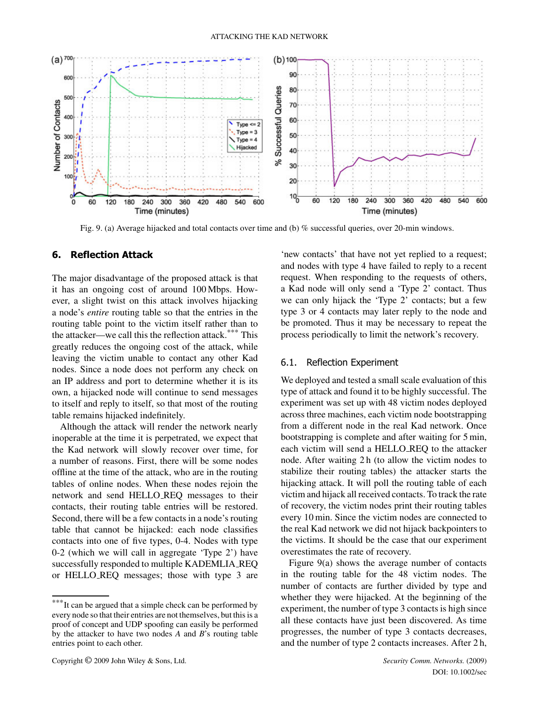

Fig. 9. (a) Average hijacked and total contacts over time and (b) % successful queries, over 20-min windows.

# **6. Reflection Attack**

The major disadvantage of the proposed attack is that it has an ongoing cost of around 100 Mbps. However, a slight twist on this attack involves hijacking a node's *entire* routing table so that the entries in the routing table point to the victim itself rather than to the attacker—we call this the reflection attack.\*\*\* This greatly reduces the ongoing cost of the attack, while leaving the victim unable to contact any other Kad nodes. Since a node does not perform any check on an IP address and port to determine whether it is its own, a hijacked node will continue to send messages to itself and reply to itself, so that most of the routing table remains hijacked indefinitely.

Although the attack will render the network nearly inoperable at the time it is perpetrated, we expect that the Kad network will slowly recover over time, for a number of reasons. First, there will be some nodes offline at the time of the attack, who are in the routing tables of online nodes. When these nodes rejoin the network and send HELLO REQ messages to their contacts, their routing table entries will be restored. Second, there will be a few contacts in a node's routing table that cannot be hijacked: each node classifies contacts into one of five types, 0-4. Nodes with type 0-2 (which we will call in aggregate 'Type 2') have successfully responded to multiple KADEMLIA REQ or HELLO REQ messages; those with type 3 are 'new contacts' that have not yet replied to a request; and nodes with type 4 have failed to reply to a recent request. When responding to the requests of others, a Kad node will only send a 'Type 2' contact. Thus we can only hijack the 'Type 2' contacts; but a few type 3 or 4 contacts may later reply to the node and be promoted. Thus it may be necessary to repeat the process periodically to limit the network's recovery.

#### 6.1. Reflection Experiment

We deployed and tested a small scale evaluation of this type of attack and found it to be highly successful. The experiment was set up with 48 victim nodes deployed across three machines, each victim node bootstrapping from a different node in the real Kad network. Once bootstrapping is complete and after waiting for 5 min, each victim will send a HELLO REQ to the attacker node. After waiting 2 h (to allow the victim nodes to stabilize their routing tables) the attacker starts the hijacking attack. It will poll the routing table of each victim and hijack all received contacts. To track the rate of recovery, the victim nodes print their routing tables every 10 min. Since the victim nodes are connected to the real Kad network we did not hijack backpointers to the victims. It should be the case that our experiment overestimates the rate of recovery.

Figure 9(a) shows the average number of contacts in the routing table for the 48 victim nodes. The number of contacts are further divided by type and whether they were hijacked. At the beginning of the experiment, the number of type 3 contacts is high since all these contacts have just been discovered. As time progresses, the number of type 3 contacts decreases, and the number of type 2 contacts increases. After 2 h,

<sup>\*\*\*</sup>It can be argued that a simple check can be performed by every node so that their entries are not themselves, but this is a proof of concept and UDP spoofing can easily be performed by the attacker to have two nodes *A* and *B*'s routing table entries point to each other.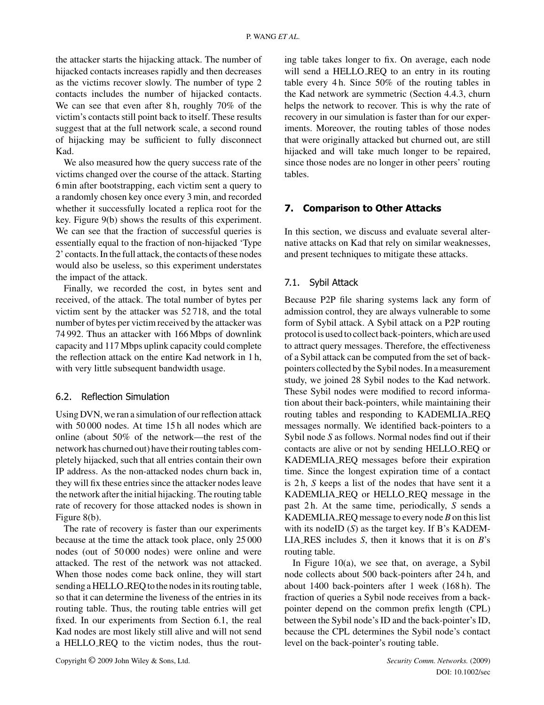the attacker starts the hijacking attack. The number of hijacked contacts increases rapidly and then decreases as the victims recover slowly. The number of type 2 contacts includes the number of hijacked contacts. We can see that even after 8h, roughly 70% of the victim's contacts still point back to itself. These results suggest that at the full network scale, a second round of hijacking may be sufficient to fully disconnect Kad.

We also measured how the query success rate of the victims changed over the course of the attack. Starting 6 min after bootstrapping, each victim sent a query to a randomly chosen key once every 3 min, and recorded whether it successfully located a replica root for the key. Figure 9(b) shows the results of this experiment. We can see that the fraction of successful queries is essentially equal to the fraction of non-hijacked 'Type 2' contacts. In the full attack, the contacts of these nodes would also be useless, so this experiment understates the impact of the attack.

Finally, we recorded the cost, in bytes sent and received, of the attack. The total number of bytes per victim sent by the attacker was 52 718, and the total number of bytes per victim received by the attacker was 74 992. Thus an attacker with 166 Mbps of downlink capacity and 117 Mbps uplink capacity could complete the reflection attack on the entire Kad network in 1 h, with very little subsequent bandwidth usage.

#### 6.2. Reflection Simulation

Using DVN, we ran a simulation of our reflection attack with 50 000 nodes. At time 15 h all nodes which are online (about 50% of the network—the rest of the network has churned out) have their routing tables completely hijacked, such that all entries contain their own IP address. As the non-attacked nodes churn back in, they will fix these entries since the attacker nodes leave the network after the initial hijacking. The routing table rate of recovery for those attacked nodes is shown in Figure 8(b).

The rate of recovery is faster than our experiments because at the time the attack took place, only 25 000 nodes (out of 50 000 nodes) were online and were attacked. The rest of the network was not attacked. When those nodes come back online, they will start sending a HELLO\_REQ to the nodes in its routing table, so that it can determine the liveness of the entries in its routing table. Thus, the routing table entries will get fixed. In our experiments from Section 6.1, the real Kad nodes are most likely still alive and will not send a HELLO REQ to the victim nodes, thus the routing table takes longer to fix. On average, each node will send a HELLO REQ to an entry in its routing table every 4 h. Since 50% of the routing tables in the Kad network are symmetric (Section 4.4.3, churn helps the network to recover. This is why the rate of recovery in our simulation is faster than for our experiments. Moreover, the routing tables of those nodes that were originally attacked but churned out, are still hijacked and will take much longer to be repaired, since those nodes are no longer in other peers' routing tables.

# **7. Comparison to Other Attacks**

In this section, we discuss and evaluate several alternative attacks on Kad that rely on similar weaknesses, and present techniques to mitigate these attacks.

# 7.1. Sybil Attack

Because P2P file sharing systems lack any form of admission control, they are always vulnerable to some form of Sybil attack. A Sybil attack on a P2P routing protocol is used to collect back-pointers, which are used to attract query messages. Therefore, the effectiveness of a Sybil attack can be computed from the set of backpointers collected by the Sybil nodes. In a measurement study, we joined 28 Sybil nodes to the Kad network. These Sybil nodes were modified to record information about their back-pointers, while maintaining their routing tables and responding to KADEMLIA REQ messages normally. We identified back-pointers to a Sybil node *S* as follows. Normal nodes find out if their contacts are alive or not by sending HELLO REQ or KADEMLIA REQ messages before their expiration time. Since the longest expiration time of a contact is 2 h, *S* keeps a list of the nodes that have sent it a KADEMLIA REQ or HELLO REQ message in the past 2 h. At the same time, periodically, *S* sends a KADEMLIA REQ message to every node *B* on this list with its nodeID (*S*) as the target key. If B's KADEM-LIA RES includes *S*, then it knows that it is on *B*'s routing table.

In Figure  $10(a)$ , we see that, on average, a Sybil node collects about 500 back-pointers after 24 h, and about 1400 back-pointers after 1 week (168 h). The fraction of queries a Sybil node receives from a backpointer depend on the common prefix length (CPL) between the Sybil node's ID and the back-pointer's ID, because the CPL determines the Sybil node's contact level on the back-pointer's routing table.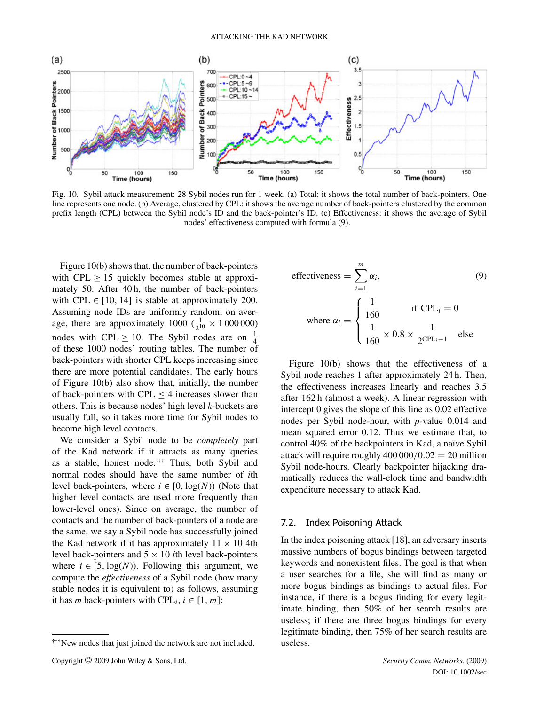

Fig. 10. Sybil attack measurement: 28 Sybil nodes run for 1 week. (a) Total: it shows the total number of back-pointers. One line represents one node. (b) Average, clustered by CPL: it shows the average number of back-pointers clustered by the common prefix length (CPL) between the Sybil node's ID and the back-pointer's ID. (c) Effectiveness: it shows the average of Sybil nodes' effectiveness computed with formula (9).

Figure 10(b) shows that, the number of back-pointers with CPL  $\geq$  15 quickly becomes stable at approximately 50. After 40 h, the number of back-pointers with CPL  $\in$  [10, 14] is stable at approximately 200. Assuming node IDs are uniformly random, on average, there are approximately 1000  $(\frac{1}{2^{10}} \times 1000000)$ nodes with CPL  $\geq 10$ . The Sybil nodes are on  $\frac{1}{4}$ of these 1000 nodes' routing tables. The number of back-pointers with shorter CPL keeps increasing since there are more potential candidates. The early hours of Figure 10(b) also show that, initially, the number of back-pointers with CPL  $\leq$  4 increases slower than others. This is because nodes' high level *k*-buckets are usually full, so it takes more time for Sybil nodes to become high level contacts.

We consider a Sybil node to be *completely* part of the Kad network if it attracts as many queries as a stable, honest node.††† Thus, both Sybil and normal nodes should have the same number of *i*th level back-pointers, where  $i \in [0, \log(N))$  (Note that higher level contacts are used more frequently than lower-level ones). Since on average, the number of contacts and the number of back-pointers of a node are the same, we say a Sybil node has successfully joined the Kad network if it has approximately  $11 \times 10$  4th level back-pointers and  $5 \times 10$  *i*th level back-pointers where  $i \in [5, \log(N))$ . Following this argument, we compute the *effectiveness* of a Sybil node (how many stable nodes it is equivalent to) as follows, assuming it has *m* back-pointers with CPL<sub>i</sub>,  $i \in [1, m]$ :

$$
\text{effectiveness} = \sum_{i=1}^{m} \alpha_i,\tag{9}
$$
\n
$$
\text{where } \alpha_i = \begin{cases} \frac{1}{160} & \text{if } \text{CPL}_i = 0\\ \frac{1}{160} \times 0.8 \times \frac{1}{2^{\text{CPL}_i - 1}} & \text{else} \end{cases}
$$

Figure 10(b) shows that the effectiveness of a Sybil node reaches 1 after approximately 24 h. Then, the effectiveness increases linearly and reaches 3.5 after 162 h (almost a week). A linear regression with intercept 0 gives the slope of this line as 0.02 effective nodes per Sybil node-hour, with *p*-value 0.014 and mean squared error 0.12. Thus we estimate that, to control 40% of the backpointers in Kad, a naïve Sybil attack will require roughly  $400\,000/0.02 = 20$  million Sybil node-hours. Clearly backpointer hijacking dramatically reduces the wall-clock time and bandwidth expenditure necessary to attack Kad.

#### 7.2. Index Poisoning Attack

In the index poisoning attack [18], an adversary inserts massive numbers of bogus bindings between targeted keywords and nonexistent files. The goal is that when a user searches for a file, she will find as many or more bogus bindings as bindings to actual files. For instance, if there is a bogus finding for every legitimate binding, then 50% of her search results are useless; if there are three bogus bindings for every legitimate binding, then 75% of her search results are useless.

<sup>†††</sup>New nodes that just joined the network are not included.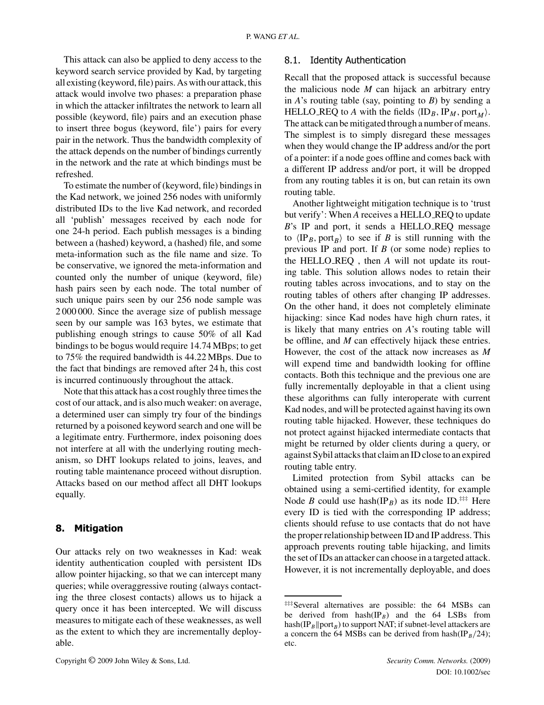This attack can also be applied to deny access to the keyword search service provided by Kad, by targeting all existing (keyword, file) pairs. As with our attack, this attack would involve two phases: a preparation phase in which the attacker infiltrates the network to learn all possible (keyword, file) pairs and an execution phase to insert three bogus (keyword, file') pairs for every pair in the network. Thus the bandwidth complexity of the attack depends on the number of bindings currently in the network and the rate at which bindings must be refreshed.

To estimate the number of (keyword, file) bindings in the Kad network, we joined 256 nodes with uniformly distributed IDs to the live Kad network, and recorded all 'publish' messages received by each node for one 24-h period. Each publish messages is a binding between a (hashed) keyword, a (hashed) file, and some meta-information such as the file name and size. To be conservative, we ignored the meta-information and counted only the number of unique (keyword, file) hash pairs seen by each node. The total number of such unique pairs seen by our 256 node sample was 2 000 000. Since the average size of publish message seen by our sample was 163 bytes, we estimate that publishing enough strings to cause 50% of all Kad bindings to be bogus would require 14.74 MBps; to get to 75% the required bandwidth is 44.22 MBps. Due to the fact that bindings are removed after 24 h, this cost is incurred continuously throughout the attack.

Note that this attack has a cost roughly three times the cost of our attack, and is also much weaker: on average, a determined user can simply try four of the bindings returned by a poisoned keyword search and one will be a legitimate entry. Furthermore, index poisoning does not interfere at all with the underlying routing mechanism, so DHT lookups related to joins, leaves, and routing table maintenance proceed without disruption. Attacks based on our method affect all DHT lookups equally.

# **8. Mitigation**

Our attacks rely on two weaknesses in Kad: weak identity authentication coupled with persistent IDs allow pointer hijacking, so that we can intercept many queries; while overaggressive routing (always contacting the three closest contacts) allows us to hijack a query once it has been intercepted. We will discuss measures to mitigate each of these weaknesses, as well as the extent to which they are incrementally deployable.

### 8.1. Identity Authentication

Recall that the proposed attack is successful because the malicious node *M* can hijack an arbitrary entry in *A*'s routing table (say, pointing to *B*) by sending a HELLO REQ to *A* with the fields  $\langle ID_B, IP_M, port_M \rangle$ . The attack can be mitigated through a number of means. The simplest is to simply disregard these messages when they would change the IP address and/or the port of a pointer: if a node goes offline and comes back with a different IP address and/or port, it will be dropped from any routing tables it is on, but can retain its own routing table.

Another lightweight mitigation technique is to 'trust but verify': When *A* receives a HELLO\_REQ to update *B*'s IP and port, it sends a HELLO\_REQ message to  $\langle IP_B, port_B \rangle$  to see if *B* is still running with the previous IP and port. If *B* (or some node) replies to the HELLO REQ , then *A* will not update its routing table. This solution allows nodes to retain their routing tables across invocations, and to stay on the routing tables of others after changing IP addresses. On the other hand, it does not completely eliminate hijacking: since Kad nodes have high churn rates, it is likely that many entries on *A*'s routing table will be offline, and *M* can effectively hijack these entries. However, the cost of the attack now increases as *M* will expend time and bandwidth looking for offline contacts. Both this technique and the previous one are fully incrementally deployable in that a client using these algorithms can fully interoperate with current Kad nodes, and will be protected against having its own routing table hijacked. However, these techniques do not protect against hijacked intermediate contacts that might be returned by older clients during a query, or against Sybil attacks that claim an ID close to an expired routing table entry.

Limited protection from Sybil attacks can be obtained using a semi-certified identity, for example Node *B* could use hash(IP<sub>B</sub>) as its node ID.<sup>‡‡‡</sup> Here every ID is tied with the corresponding IP address; clients should refuse to use contacts that do not have the proper relationship between ID and IP address. This approach prevents routing table hijacking, and limits the set of IDs an attacker can choose in a targeted attack. However, it is not incrementally deployable, and does

<sup>‡‡‡</sup>Several alternatives are possible: the 64 MSBs can be derived from  $hash(\mathbb{IP}_B)$  and the 64 LSBs from hash(IP<sub>B</sub>||port<sub>B</sub>) to support NAT; if subnet-level attackers are<br>a concern the 64 MSBs can be derived from bash(IP<sub>s</sub> /24) a concern the 64 MSBs can be derived from hash( $IP_B/24$ ); etc.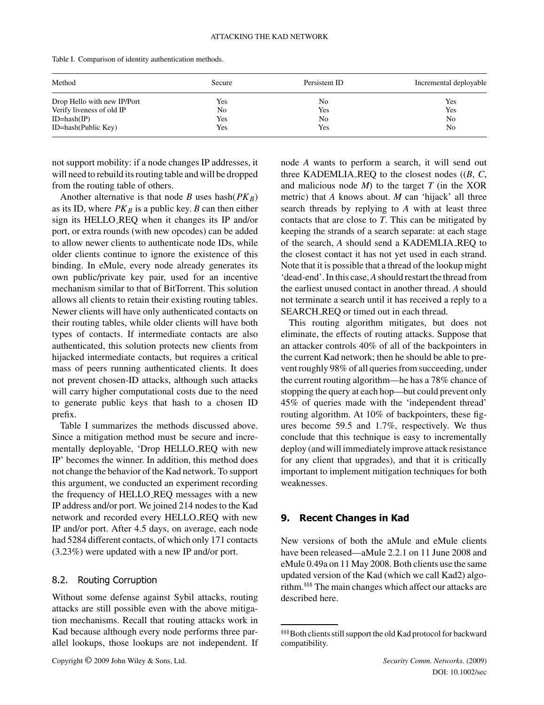| Method                      | Secure | Persistent ID  | Incremental deployable |
|-----------------------------|--------|----------------|------------------------|
| Drop Hello with new IP/Port | Yes    | No             | Yes                    |
| Verify liveness of old IP   | No     | Yes            | Yes                    |
| $ID = hash/IP$              | Yes    | N <sub>0</sub> | No                     |
| ID=hash(Public Key)         | Yes    | Yes            | No                     |

Table I. Comparison of identity authentication methods.

not support mobility: if a node changes IP addresses, it will need to rebuild its routing table and will be dropped from the routing table of others.

Another alternative is that node *B* uses hash( $PK_B$ ) as its ID, where  $PK_B$  is a public key. *B* can then either sign its HELLO REQ when it changes its IP and/or port, or extra rounds (with new opcodes) can be added to allow newer clients to authenticate node IDs, while older clients continue to ignore the existence of this binding. In eMule, every node already generates its own public/private key pair, used for an incentive mechanism similar to that of BitTorrent. This solution allows all clients to retain their existing routing tables. Newer clients will have only authenticated contacts on their routing tables, while older clients will have both types of contacts. If intermediate contacts are also authenticated, this solution protects new clients from hijacked intermediate contacts, but requires a critical mass of peers running authenticated clients. It does not prevent chosen-ID attacks, although such attacks will carry higher computational costs due to the need to generate public keys that hash to a chosen ID prefix.

Table I summarizes the methods discussed above. Since a mitigation method must be secure and incrementally deployable, 'Drop HELLO REQ with new IP' becomes the winner. In addition, this method does not change the behavior of the Kad network. To support this argument, we conducted an experiment recording the frequency of HELLO REQ messages with a new IP address and/or port. We joined 214 nodes to the Kad network and recorded every HELLO REQ with new IP and/or port. After 4.5 days, on average, each node had 5284 different contacts, of which only 171 contacts (3.23%) were updated with a new IP and/or port.

#### 8.2. Routing Corruption

Without some defense against Sybil attacks, routing attacks are still possible even with the above mitigation mechanisms. Recall that routing attacks work in Kad because although every node performs three parallel lookups, those lookups are not independent. If node *A* wants to perform a search, it will send out three KADEMLIA REQ to the closest nodes ((*B*, *C*, and malicious node *M*) to the target *T* (in the XOR metric) that *A* knows about. *M* can 'hijack' all three search threads by replying to *A* with at least three contacts that are close to *T*. This can be mitigated by keeping the strands of a search separate: at each stage of the search, *A* should send a KADEMLIA REQ to the closest contact it has not yet used in each strand. Note that it is possible that a thread of the lookup might 'dead-end'. In this case,*A*should restart the thread from the earliest unused contact in another thread. *A* should not terminate a search until it has received a reply to a SEARCH\_REQ or timed out in each thread.

This routing algorithm mitigates, but does not eliminate, the effects of routing attacks. Suppose that an attacker controls 40% of all of the backpointers in the current Kad network; then he should be able to prevent roughly 98% of all queries from succeeding, under the current routing algorithm—he has a 78% chance of stopping the query at each hop—but could prevent only 45% of queries made with the 'independent thread' routing algorithm. At 10% of backpointers, these figures become 59.5 and 1.7%, respectively. We thus conclude that this technique is easy to incrementally deploy (and will immediately improve attack resistance for any client that upgrades), and that it is critically important to implement mitigation techniques for both weaknesses.

### **9. Recent Changes in Kad**

New versions of both the aMule and eMule clients have been released—aMule 2.2.1 on 11 June 2008 and eMule 0.49a on 11 May 2008. Both clients use the same updated version of the Kad (which we call Kad2) algorithm.§§§ The main changes which affect our attacks are described here.

<sup>§§§</sup>Both clients still support the old Kad protocol for backward compatibility.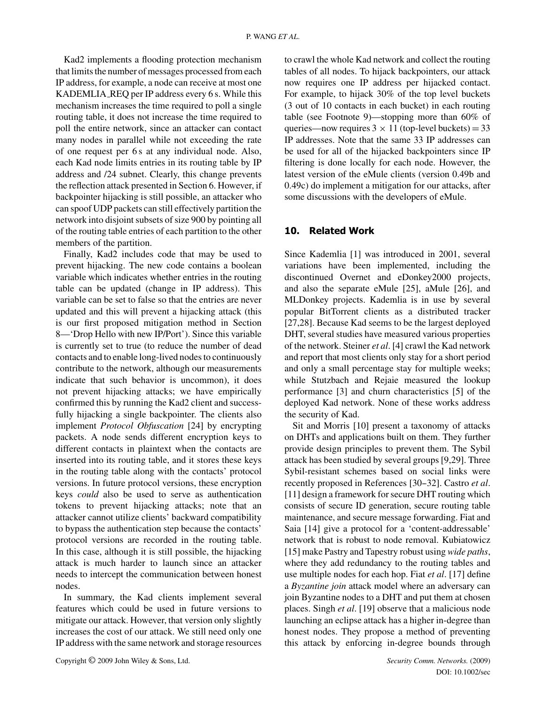Kad2 implements a flooding protection mechanism that limits the number of messages processed from each IP address, for example, a node can receive at most one KADEMLIA REQ per IP address every 6 s. While this mechanism increases the time required to poll a single routing table, it does not increase the time required to poll the entire network, since an attacker can contact many nodes in parallel while not exceeding the rate of one request per 6 s at any individual node. Also, each Kad node limits entries in its routing table by IP address and /24 subnet. Clearly, this change prevents the reflection attack presented in Section 6. However, if backpointer hijacking is still possible, an attacker who can spoof UDP packets can still effectively partition the network into disjoint subsets of size 900 by pointing all of the routing table entries of each partition to the other members of the partition.

Finally, Kad2 includes code that may be used to prevent hijacking. The new code contains a boolean variable which indicates whether entries in the routing table can be updated (change in IP address). This variable can be set to false so that the entries are never updated and this will prevent a hijacking attack (this is our first proposed mitigation method in Section 8—'Drop Hello with new IP/Port'). Since this variable is currently set to true (to reduce the number of dead contacts and to enable long-lived nodes to continuously contribute to the network, although our measurements indicate that such behavior is uncommon), it does not prevent hijacking attacks; we have empirically confirmed this by running the Kad2 client and successfully hijacking a single backpointer. The clients also implement *Protocol Obfuscation* [24] by encrypting packets. A node sends different encryption keys to different contacts in plaintext when the contacts are inserted into its routing table, and it stores these keys in the routing table along with the contacts' protocol versions. In future protocol versions, these encryption keys *could* also be used to serve as authentication tokens to prevent hijacking attacks; note that an attacker cannot utilize clients' backward compatibility to bypass the authentication step because the contacts' protocol versions are recorded in the routing table. In this case, although it is still possible, the hijacking attack is much harder to launch since an attacker needs to intercept the communication between honest nodes.

In summary, the Kad clients implement several features which could be used in future versions to mitigate our attack. However, that version only slightly increases the cost of our attack. We still need only one IP address with the same network and storage resources to crawl the whole Kad network and collect the routing tables of all nodes. To hijack backpointers, our attack now requires one IP address per hijacked contact. For example, to hijack 30% of the top level buckets (3 out of 10 contacts in each bucket) in each routing table (see Footnote 9)—stopping more than 60% of queries—now requires  $3 \times 11$  (top-level buckets) = 33 IP addresses. Note that the same 33 IP addresses can be used for all of the hijacked backpointers since IP filtering is done locally for each node. However, the latest version of the eMule clients (version 0.49b and 0.49c) do implement a mitigation for our attacks, after some discussions with the developers of eMule.

#### **10. Related Work**

Since Kademlia [1] was introduced in 2001, several variations have been implemented, including the discontinued Overnet and eDonkey2000 projects, and also the separate eMule [25], aMule [26], and MLDonkey projects. Kademlia is in use by several popular BitTorrent clients as a distributed tracker [27,28]. Because Kad seems to be the largest deployed DHT, several studies have measured various properties of the network. Steiner *et al*. [4] crawl the Kad network and report that most clients only stay for a short period and only a small percentage stay for multiple weeks; while Stutzbach and Rejaie measured the lookup performance [3] and churn characteristics [5] of the deployed Kad network. None of these works address the security of Kad.

Sit and Morris [10] present a taxonomy of attacks on DHTs and applications built on them. They further provide design principles to prevent them. The Sybil attack has been studied by several groups [9,29]. Three Sybil-resistant schemes based on social links were recently proposed in References [30-32]. Castro *et al.* [11] design a framework for secure DHT routing which consists of secure ID generation, secure routing table maintenance, and secure message forwarding. Fiat and Saia [14] give a protocol for a 'content-addressable' network that is robust to node removal. Kubiatowicz [15] make Pastry and Tapestry robust using *wide paths*, where they add redundancy to the routing tables and use multiple nodes for each hop. Fiat *et al*. [17] define a *Byzantine join* attack model where an adversary can join Byzantine nodes to a DHT and put them at chosen places. Singh *et al*. [19] observe that a malicious node launching an eclipse attack has a higher in-degree than honest nodes. They propose a method of preventing this attack by enforcing in-degree bounds through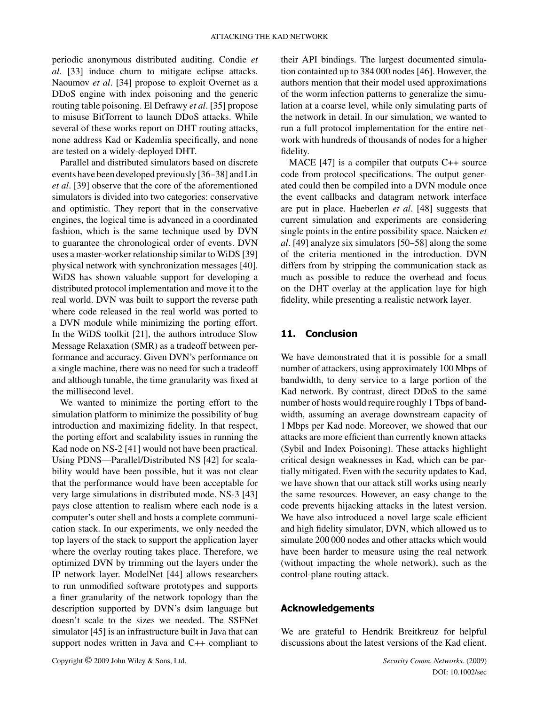periodic anonymous distributed auditing. Condie *et al*. [33] induce churn to mitigate eclipse attacks. Naoumov *et al*. [34] propose to exploit Overnet as a DDoS engine with index poisoning and the generic routing table poisoning. El Defrawy *et al*. [35] propose to misuse BitTorrent to launch DDoS attacks. While several of these works report on DHT routing attacks, none address Kad or Kademlia specifically, and none are tested on a widely-deployed DHT.

Parallel and distributed simulators based on discrete events have been developed previously [36-38] and Lin *et al*. [39] observe that the core of the aforementioned simulators is divided into two categories: conservative and optimistic. They report that in the conservative engines, the logical time is advanced in a coordinated fashion, which is the same technique used by DVN to guarantee the chronological order of events. DVN uses a master-worker relationship similar to WiDS [39] physical network with synchronization messages [40]. WiDS has shown valuable support for developing a distributed protocol implementation and move it to the real world. DVN was built to support the reverse path where code released in the real world was ported to a DVN module while minimizing the porting effort. In the WiDS toolkit [21], the authors introduce Slow Message Relaxation (SMR) as a tradeoff between performance and accuracy. Given DVN's performance on a single machine, there was no need for such a tradeoff and although tunable, the time granularity was fixed at the millisecond level.

We wanted to minimize the porting effort to the simulation platform to minimize the possibility of bug introduction and maximizing fidelity. In that respect, the porting effort and scalability issues in running the Kad node on NS-2 [41] would not have been practical. Using PDNS—Parallel/Distributed NS [42] for scalability would have been possible, but it was not clear that the performance would have been acceptable for very large simulations in distributed mode. NS-3 [43] pays close attention to realism where each node is a computer's outer shell and hosts a complete communication stack. In our experiments, we only needed the top layers of the stack to support the application layer where the overlay routing takes place. Therefore, we optimized DVN by trimming out the layers under the IP network layer. ModelNet [44] allows researchers to run unmodified software prototypes and supports a finer granularity of the network topology than the description supported by DVN's dsim language but doesn't scale to the sizes we needed. The SSFNet simulator [45] is an infrastructure built in Java that can support nodes written in Java and C++ compliant to their API bindings. The largest documented simulation containted up to 384 000 nodes [46]. However, the authors mention that their model used approximations of the worm infection patterns to generalize the simulation at a coarse level, while only simulating parts of the network in detail. In our simulation, we wanted to run a full protocol implementation for the entire network with hundreds of thousands of nodes for a higher fidelity.

MACE [47] is a compiler that outputs C++ source code from protocol specifications. The output generated could then be compiled into a DVN module once the event callbacks and datagram network interface are put in place. Haeberlen *et al*. [48] suggests that current simulation and experiments are considering single points in the entire possibility space. Naicken *et al*. [49] analyze six simulators [50-58] along the some of the criteria mentioned in the introduction. DVN differs from by stripping the communication stack as much as possible to reduce the overhead and focus on the DHT overlay at the application laye for high fidelity, while presenting a realistic network layer.

#### **11. Conclusion**

We have demonstrated that it is possible for a small number of attackers, using approximately 100 Mbps of bandwidth, to deny service to a large portion of the Kad network. By contrast, direct DDoS to the same number of hosts would require roughly 1 Tbps of bandwidth, assuming an average downstream capacity of 1 Mbps per Kad node. Moreover, we showed that our attacks are more efficient than currently known attacks (Sybil and Index Poisoning). These attacks highlight critical design weaknesses in Kad, which can be partially mitigated. Even with the security updates to Kad, we have shown that our attack still works using nearly the same resources. However, an easy change to the code prevents hijacking attacks in the latest version. We have also introduced a novel large scale efficient and high fidelity simulator, DVN, which allowed us to simulate 200 000 nodes and other attacks which would have been harder to measure using the real network (without impacting the whole network), such as the control-plane routing attack.

#### **Acknowledgements**

We are grateful to Hendrik Breitkreuz for helpful discussions about the latest versions of the Kad client.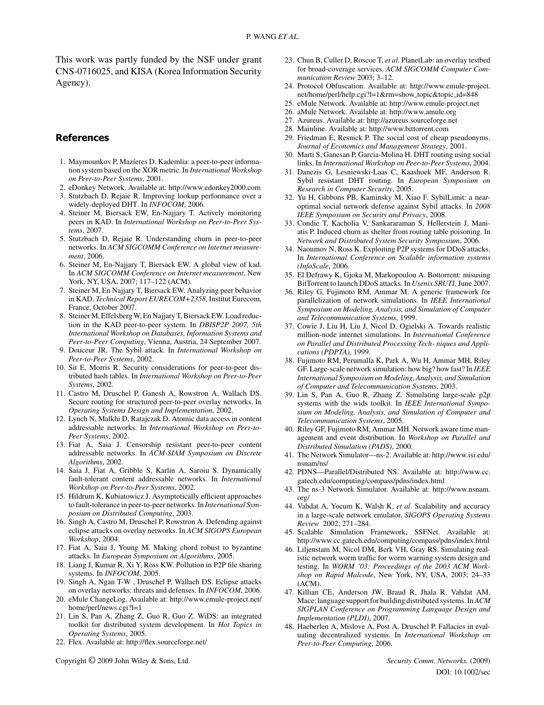This work was partly funded by the NSF under grant CNS-0716025, and KISA (Korea Information Security Agency).

#### **References**

- 1. Maymounkov P, Mazíeres D. Kademlia: a peer-to-peer information system based on the XOR metric. In *International Workshop on Peer-to-Peer Systems*, 2001.
- 2. eDonkey Network. Available at: http://www.edonkey2000.com
- 3. Stutzbach D, Rejaie R. Improving lookup performance over a widely-deployed DHT. In *INFOCOM*, 2006.
- 4. Steiner M, Biersack EW, En-Najjary T. Actively monitoring peers in KAD. In *International Workshop on Peer-to-Peer Systems*, 2007.
- 5. Stutzbach D, Rejaie R. Understanding churn in peer-to-peer networks. In *ACM SIGCOMM Conference on Internet measurement*, 2006.
- 6. Steiner M, En-Najjary T, Biersack EW. A global view of kad. In *ACM SIGCOMM Conference on Internet measurement*, New York, NY, USA, 2007; 117–122 (ACM).
- 7. Steiner M, En Najjary T, Biersack EW. Analyzing peer behavior in KAD. *Technical Report EURECOM+2358*, Institut Eurecom, France, October 2007.
- 8. SteinerM, EffelsbergW, En Najjary T, Biersack EW. Load reduction in the KAD peer-to-peer system. In *DBISP2P 2007, 5th International Workshop on Databases, Information Systems and Peer-to-Peer Computing*, Vienna, Austria, 24 September 2007.
- 9. Douceur JR. The Sybil attack. In *International Workshop on Peer-to-Peer Systems*, 2002.
- 10. Sit E, Morris R. Security considerations for peer-to-peer distributed hash tables. In *International Workshop on Peer-to-Peer Systems*, 2002.
- 11. Castro M, Druschel P, Ganesh A, Rowstron A, Wallach DS. Secure routing for structured peer-to-peer overlay networks. In *Operating Systems Design and Implementation*, 2002.
- 12. Lynch N, Malkhi D, Ratajczak D. Atomic data access in content addressable networks. In *International Workshop on Peer-to-Peer Systems*, 2002.
- 13. Fiat A, Saia J. Censorship resistant peer-to-peer content addressable networks. In *ACM-SIAM Symposium on Discrete Algorithms*, 2002.
- 14. Saia J, Fiat A, Gribble S, Karlin A, Saroiu S. Dynamically fault-tolerant content addressable networks. In *International Workshop on Peer-to-Peer Systems*, 2002.
- 15. Hildrum K, Kubiatowicz J. Asymptotically efficient approaches to fault-tolerance in peer-to-peer networks. In *International Symposium on Distributed Computing*, 2003.
- 16. Singh A, Castro M, Druschel P, Rowstron A. Defending against eclipse attacks on overlay networks. In *ACM SIGOPS European Workshop*, 2004.
- 17. Fiat A, Saia J, Young M. Making chord robust to byzantine attacks. In *European Symposium on Algorithms*, 2005.
- 18. Liang J, Kumar R, Xi Y, Ross KW. Pollution in P2P file sharing systems. In *INFOCOM*, 2005.
- 19. Singh A, Ngan T-W , Druschel P, Wallach DS. Eclipse attacks on overlay networks: threats and defenses. In *INFOCOM*, 2006.
- 20. eMule ChangeLog. Available at: http://www.emule-project.net/ home/perl/news.cgi?l=1
- 21. Lin S, Pan A, Zhang Z, Guo R, Guo Z. WiDS: an integrated toolkit for distributed system development. In *Hot Topics in Operating Systems*, 2005.
- 22. Flex. Available at: http://flex.sourceforge.net/

Copyright © 2009 John Wiley & Sons, Ltd. *Security Comm. Networks.* (2009)

- 23. Chun B, Culler D, Roscoe T, *et al*. PlanetLab: an overlay testbed for broad-coverage services. *ACM SIGCOMM Computer Communication Review* 2003; 3–12.
- 24. Protocol Obfuscation. Available at: http://www.emule-project. net/home/perl/help.cgi?l=1&rm=show topic&topic id=848
- 25. eMule Network. Available at: http://www.emule-project.net
- 26. aMule Network. Available at: http://www.amule.org
- 27. Azureus. Available at: http://azureus.sourceforge.net
- 28. Mainline. Available at: http://www.bittorrent.com
- 29. Friedman E, Resnick P. The social cost of cheap pseudonyms. *Journal of Economics and Management Strategy*, 2001.
- 30. Marti S, Ganesan P, Garcia-Molina H. DHT routing using social links. In *International Workshop on Peer-to-Peer Systems*, 2004.
- 31. Danezis G, Lesniewski-Laas C, Kaashoek MF, Anderson R. Sybil resistant DHT routing. In *European Symposium on Research in Computer Security*, 2005.
- 32. Yu H, Gibbons PB, Kaminsky M, Xiao F. SybilLimit: a nearoptimal social network defense against Sybil attacks. In *2008 IEEE Symposium on Security and Privacy*, 2008.
- 33. Condie T, Kacholia V, Sankararaman S, Hellerstein J, Maniatis P. Induced churn as shelter from routing table poisoning. In *Network and Distributed System Security Symposium*, 2006.
- 34. Naoumov N, Ross K. Exploiting P2P systems for DDoS attacks. In *International Conference on Scalable information systems (InfoScale*, 2006.
- 35. El Defrawy K, Gjoka M, Markopoulou A. Bottorrent: misusing BitTorrent to launch DDoS attacks. In *Usenix SRUTI*, June 2007.
- 36. Riley G, Fujimoto RM, Ammar M. A generic framework for parallelization of network simulations. In *IEEE International Symposium on Modeling, Analysis, and Simulation of Computer and Telecommunication Systems*, 1999.
- 37. Cowie J, Liu H, Liu J, Nicol D, Ogielski A. Towards realistic million-node internet simulations. In *International Conference on Parallel and Distributed Processing Tech- niques and Applications (PDPTA)*, 1999.
- 38. Fujimoto RM, Perumalla K, Park A, Wu H, Ammar MH, Riley GF. Large-scale network simulation: how big? how fast? In *IEEE International Symposium on Modeling, Analysis, and Simulation of Computer and Telecommunication Systems*, 2003.
- 39. Lin S, Pan A, Guo R, Zhang Z. Simulating large-scale p2p systems with the wids toolkit. In *IEEE International Symposium on Modeling, Analysis, and Simulation of Computer and Telecommunication Systems*, 2005.
- 40. Riley GF, Fujimoto RM, Ammar MH. Network aware time management and event distribution. In *Workshop on Parallel and Distributed Simulation (PADS)*, 2000.
- 41. The Network Simulator—ns-2. Available at: http://www.isi.edu/ nsnam/ns/
- 42. PDNS—Parallel/Distributed NS. Available at: http://www.cc. gatech.edu/computing/compass/pdns/index.html
- 43. The ns-3 Network Simulator. Available at: http://www.nsnam. org/
- 44. Vahdat A, Yocum K, Walsh K, *et al*. Scalability and accuracy in a large-scale network emulator. *SIGOPS Operating Systems Review* 2002; 271–284.
- 45. Scalable Simulation Framework, SSFNet. Available at: http://www.cc.gatech.edu/computing/compass/pdns/index.html
- 46. Liljenstam M, Nicol DM, Berk VH, Gray RS. Simulating realistic network worm traffic for worm warning system design and testing. In *WORM '03: Proceedings of the 2003 ACM Workshop on Rapid Malcode*, New York, NY, USA, 2003; 24–33 (ACM).
- 47. Killian CE, Anderson JW, Braud R, Jhala R, Vahdat AM. Mace: language support for building distributed systems. In*ACM SIGPLAN Conference on Programming Language Design and Implementation (PLDI)*, 2007.
- 48. Haeberlen A, Mislove A, Post A, Druschel P. Fallacies in evaluating decentralized systems. In *International Workshop on Peer-to-Peer Computing*, 2006.